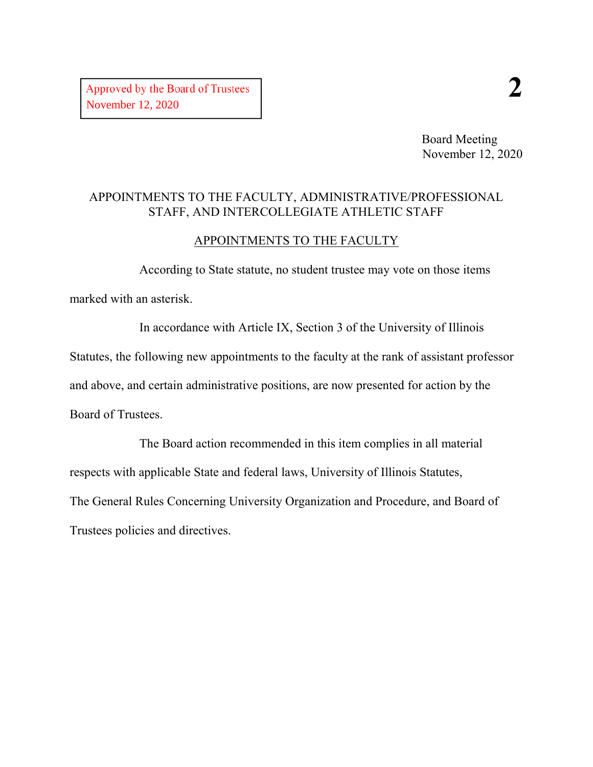Board Meeting November 12, 2020

#### APPOINTMENTS TO THE FACULTY, ADMINISTRATIVE/PROFESSIONAL STAFF, AND INTERCOLLEGIATE ATHLETIC STAFF

#### APPOINTMENTS TO THE FACULTY

According to State statute, no student trustee may vote on those items marked with an asterisk.

In accordance with Article IX, Section 3 of the University of Illinois Statutes, the following new appointments to the faculty at the rank of assistant professor and above, and certain administrative positions, are now presented for action by the Board of Trustees.

The Board action recommended in this item complies in all material respects with applicable State and federal laws, University of Illinois Statutes, The General Rules Concerning University Organization and Procedure, and Board of Trustees policies and directives.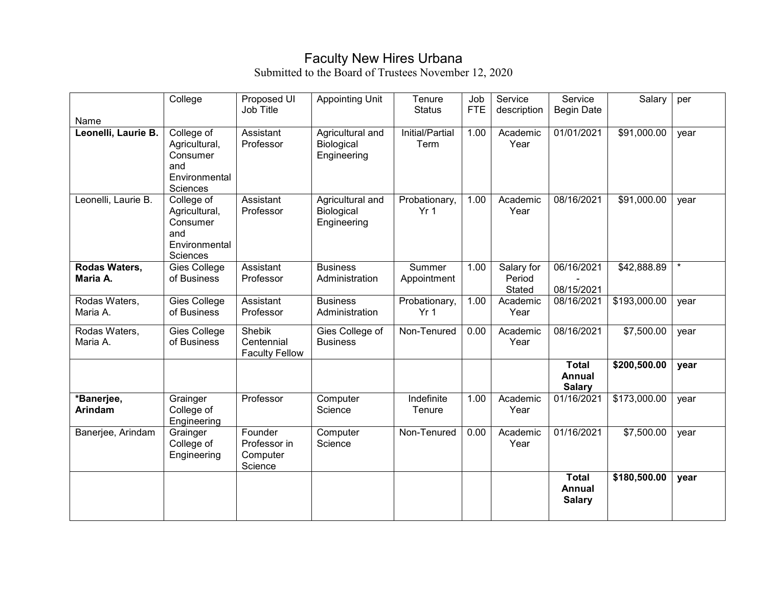### Faculty New Hires Urbana

| Name                         | College                                                                     | Proposed UI<br>Job Title                       | <b>Appointing Unit</b>                        | Tenure<br><b>Status</b>          | Job<br><b>FTE</b> | Service<br>description         | Service<br><b>Begin Date</b>                   | Salary       | per     |
|------------------------------|-----------------------------------------------------------------------------|------------------------------------------------|-----------------------------------------------|----------------------------------|-------------------|--------------------------------|------------------------------------------------|--------------|---------|
| Leonelli, Laurie B.          | College of<br>Agricultural,<br>Consumer<br>and<br>Environmental<br>Sciences | Assistant<br>Professor                         | Agricultural and<br>Biological<br>Engineering | Initial/Partial<br>Term          | 1.00              | Academic<br>Year               | 01/01/2021                                     | \$91,000.00  | year    |
| Leonelli, Laurie B.          | College of<br>Agricultural,<br>Consumer<br>and<br>Environmental<br>Sciences | Assistant<br>Professor                         | Agricultural and<br>Biological<br>Engineering | Probationary,<br>Yr <sub>1</sub> | 1.00              | Academic<br>Year               | 08/16/2021                                     | \$91,000.00  | year    |
| Rodas Waters,<br>Maria A.    | Gies College<br>of Business                                                 | Assistant<br>Professor                         | <b>Business</b><br>Administration             | Summer<br>Appointment            | 1.00              | Salary for<br>Period<br>Stated | 06/16/2021<br>08/15/2021                       | \$42,888.89  | $\star$ |
| Rodas Waters,<br>Maria A.    | Gies College<br>of Business                                                 | Assistant<br>Professor                         | <b>Business</b><br>Administration             | Probationary,<br>Yr <sub>1</sub> | 1.00              | Academic<br>Year               | 08/16/2021                                     | \$193,000.00 | year    |
| Rodas Waters,<br>Maria A.    | Gies College<br>of Business                                                 | Shebik<br>Centennial<br><b>Faculty Fellow</b>  | Gies College of<br><b>Business</b>            | Non-Tenured                      | 0.00              | Academic<br>Year               | 08/16/2021                                     | \$7,500.00   | year    |
|                              |                                                                             |                                                |                                               |                                  |                   |                                | <b>Total</b><br><b>Annual</b><br><b>Salary</b> | \$200,500.00 | year    |
| *Banerjee,<br><b>Arindam</b> | Grainger<br>College of<br>Engineering                                       | Professor                                      | Computer<br>Science                           | Indefinite<br>Tenure             | 1.00              | Academic<br>Year               | 01/16/2021                                     | \$173,000.00 | year    |
| Banerjee, Arindam            | Grainger<br>College of<br>Engineering                                       | Founder<br>Professor in<br>Computer<br>Science | Computer<br>Science                           | Non-Tenured                      | 0.00              | Academic<br>Year               | 01/16/2021                                     | \$7,500.00   | year    |
|                              |                                                                             |                                                |                                               |                                  |                   |                                | <b>Total</b><br><b>Annual</b><br><b>Salary</b> | \$180,500.00 | year    |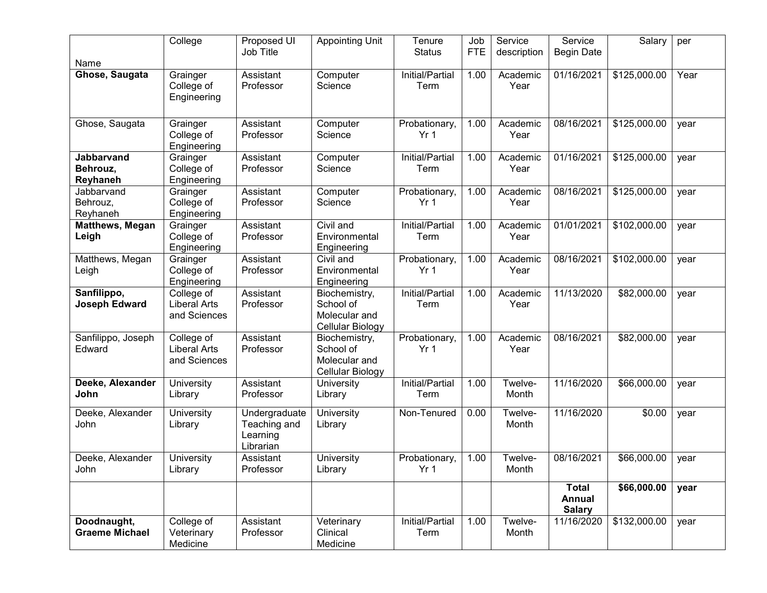|                                           | College                                           | Proposed UI<br>Job Title                               | <b>Appointing Unit</b>                                          | Tenure<br><b>Status</b>          | Job<br><b>FTE</b> | Service<br>description | Service                                 | Salary       | per  |
|-------------------------------------------|---------------------------------------------------|--------------------------------------------------------|-----------------------------------------------------------------|----------------------------------|-------------------|------------------------|-----------------------------------------|--------------|------|
| Name                                      |                                                   |                                                        |                                                                 |                                  |                   |                        | <b>Begin Date</b>                       |              |      |
| Ghose, Saugata                            | Grainger<br>College of<br>Engineering             | Assistant<br>Professor                                 | Computer<br>Science                                             | Initial/Partial<br>Term          | 1.00              | Academic<br>Year       | 01/16/2021                              | \$125,000.00 | Year |
| Ghose, Saugata                            | Grainger<br>College of<br>Engineering             | Assistant<br>Professor                                 | Computer<br>Science                                             | Probationary,<br>Yr <sub>1</sub> | 1.00              | Academic<br>Year       | 08/16/2021                              | \$125,000.00 | year |
| <b>Jabbarvand</b><br>Behrouz,<br>Reyhaneh | Grainger<br>College of<br>Engineering             | Assistant<br>Professor                                 | Computer<br>Science                                             | Initial/Partial<br>Term          | 1.00              | Academic<br>Year       | 01/16/2021                              | \$125,000.00 | year |
| Jabbarvand<br>Behrouz,<br>Reyhaneh        | Grainger<br>College of<br>Engineering             | Assistant<br>Professor                                 | Computer<br>Science                                             | Probationary,<br>Yr <sub>1</sub> | 1.00              | Academic<br>Year       | 08/16/2021                              | \$125,000.00 | year |
| <b>Matthews, Megan</b><br>Leigh           | Grainger<br>College of<br>Engineering             | Assistant<br>Professor                                 | Civil and<br>Environmental<br>Engineering                       | Initial/Partial<br>Term          | 1.00              | Academic<br>Year       | 01/01/2021                              | \$102,000.00 | year |
| Matthews, Megan<br>Leigh                  | Grainger<br>College of<br>Engineering             | Assistant<br>Professor                                 | Civil and<br>Environmental<br>Engineering                       | Probationary,<br>Yr <sub>1</sub> | 1.00              | Academic<br>Year       | 08/16/2021                              | \$102,000.00 | year |
| Sanfilippo,<br><b>Joseph Edward</b>       | College of<br><b>Liberal Arts</b><br>and Sciences | Assistant<br>Professor                                 | Biochemistry,<br>School of<br>Molecular and<br>Cellular Biology | Initial/Partial<br>Term          | 1.00              | Academic<br>Year       | 11/13/2020                              | \$82,000.00  | year |
| Sanfilippo, Joseph<br>Edward              | College of<br><b>Liberal Arts</b><br>and Sciences | Assistant<br>Professor                                 | Biochemistry,<br>School of<br>Molecular and<br>Cellular Biology | Probationary,<br>Yr <sub>1</sub> | 1.00              | Academic<br>Year       | 08/16/2021                              | \$82,000.00  | year |
| Deeke, Alexander<br>John                  | University<br>Library                             | Assistant<br>Professor                                 | University<br>Library                                           | Initial/Partial<br>Term          | 1.00              | Twelve-<br>Month       | 11/16/2020                              | \$66,000.00  | year |
| Deeke, Alexander<br>John                  | University<br>Library                             | Undergraduate<br>Teaching and<br>Learning<br>Librarian | University<br>Library                                           | Non-Tenured                      | 0.00              | Twelve-<br>Month       | 11/16/2020                              | \$0.00       | year |
| Deeke, Alexander<br>John                  | University<br>Library                             | Assistant<br>Professor                                 | University<br>Library                                           | Probationary,<br>Yr 1            | 1.00              | Twelve-<br>Month       | 08/16/2021                              | \$66,000.00  | year |
|                                           |                                                   |                                                        |                                                                 |                                  |                   |                        | <b>Total</b><br>Annual<br><b>Salary</b> | \$66,000.00  | year |
| Doodnaught,<br><b>Graeme Michael</b>      | College of<br>Veterinary<br>Medicine              | Assistant<br>Professor                                 | Veterinary<br>Clinical<br>Medicine                              | Initial/Partial<br>Term          | 1.00              | Twelve-<br>Month       | 11/16/2020                              | \$132,000.00 | year |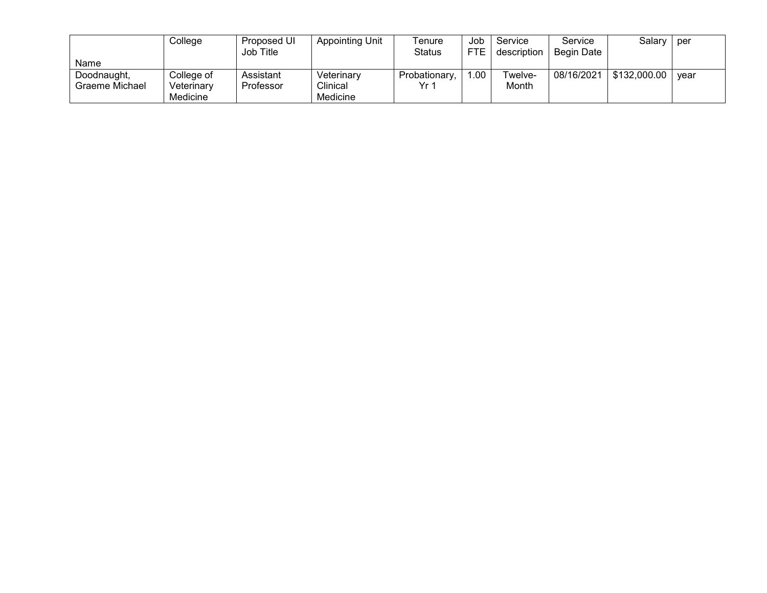|                | College    | Proposed UI<br>Job Title | Appointing Unit | Tenure<br><b>Status</b> | Job<br><b>FTE</b> | Service<br>description | Service<br>Begin Date | Salary       | per  |
|----------------|------------|--------------------------|-----------------|-------------------------|-------------------|------------------------|-----------------------|--------------|------|
| Name           |            |                          |                 |                         |                   |                        |                       |              |      |
| Doodnaught,    | College of | Assistant                | Veterinary      | Probationary,           | 1.00              | Twelve-                | 08/16/2021            | \$132,000.00 | vear |
| Graeme Michael | Veterinary | Professor                | Clinical        | Vr 1                    |                   | Month                  |                       |              |      |
|                | Medicine   |                          | Medicine        |                         |                   |                        |                       |              |      |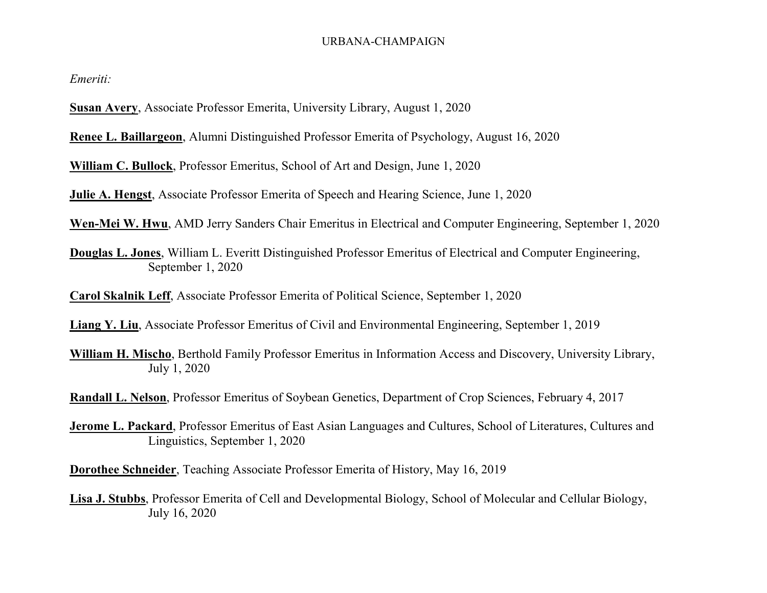#### URBANA-CHAMPAIGN

*Emeriti:*

**Susan Avery**, Associate Professor Emerita, University Library, August 1, 2020

**Renee L. Baillargeon**, Alumni Distinguished Professor Emerita of Psychology, August 16, 2020

**William C. Bullock**, Professor Emeritus, School of Art and Design, June 1, 2020

**Julie A. Hengst**, Associate Professor Emerita of Speech and Hearing Science, June 1, 2020

**Wen-Mei W. Hwu**, AMD Jerry Sanders Chair Emeritus in Electrical and Computer Engineering, September 1, 2020

**Douglas L. Jones**, William L. Everitt Distinguished Professor Emeritus of Electrical and Computer Engineering, September 1, 2020

**Carol Skalnik Leff**, Associate Professor Emerita of Political Science, September 1, 2020

**Liang Y. Liu**, Associate Professor Emeritus of Civil and Environmental Engineering, September 1, 2019

**William H. Mischo**, Berthold Family Professor Emeritus in Information Access and Discovery, University Library, July 1, 2020

**Randall L. Nelson**, Professor Emeritus of Soybean Genetics, Department of Crop Sciences, February 4, 2017

**Jerome L. Packard**, Professor Emeritus of East Asian Languages and Cultures, School of Literatures, Cultures and Linguistics, September 1, 2020

**Dorothee Schneider**, Teaching Associate Professor Emerita of History, May 16, 2019

**Lisa J. Stubbs**, Professor Emerita of Cell and Developmental Biology, School of Molecular and Cellular Biology, July 16, 2020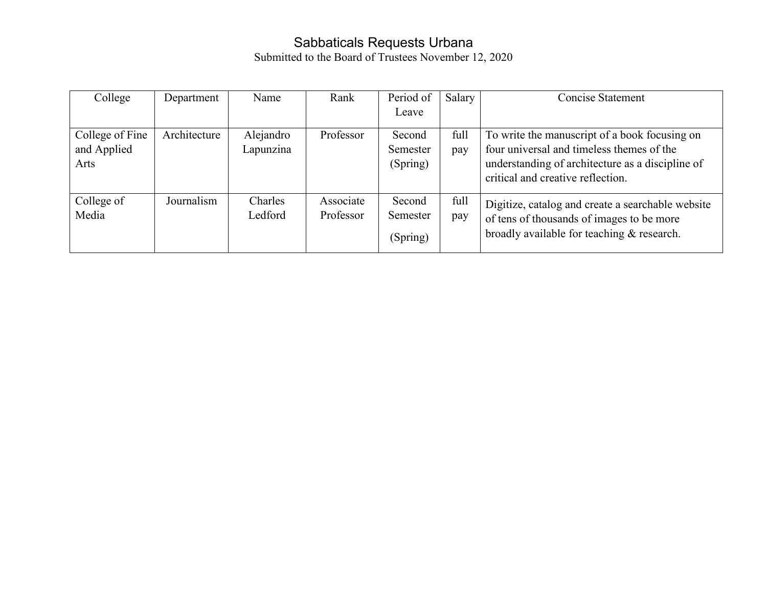### Sabbaticals Requests Urbana

| College         | Department   | Name      | Rank      | Period of<br>Leave | Salary | <b>Concise Statement</b>                          |
|-----------------|--------------|-----------|-----------|--------------------|--------|---------------------------------------------------|
|                 |              |           |           |                    |        |                                                   |
| College of Fine | Architecture | Alejandro | Professor | Second             | full   | To write the manuscript of a book focusing on     |
| and Applied     |              | Lapunzina |           | Semester           | pay    | four universal and timeless themes of the         |
| Arts            |              |           |           | (Spring)           |        | understanding of architecture as a discipline of  |
|                 |              |           |           |                    |        | critical and creative reflection.                 |
| College of      | Journalism   | Charles   | Associate | Second             | full   | Digitize, catalog and create a searchable website |
| Media           |              | Ledford   | Professor | Semester           | pay    | of tens of thousands of images to be more         |
|                 |              |           |           | (Spring)           |        | broadly available for teaching & research.        |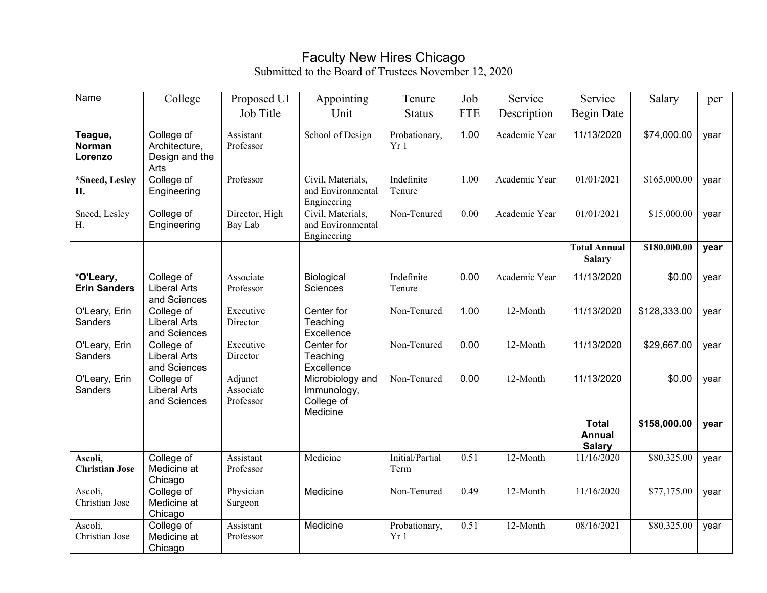### Faculty New Hires Chicago

| Name                                | College                                               | Proposed UI                       | Appointing                                                | Tenure                  | Job        | Service       | Service                                        | Salary       | per  |
|-------------------------------------|-------------------------------------------------------|-----------------------------------|-----------------------------------------------------------|-------------------------|------------|---------------|------------------------------------------------|--------------|------|
|                                     |                                                       | Job Title                         | Unit                                                      | <b>Status</b>           | <b>FTE</b> | Description   | <b>Begin Date</b>                              |              |      |
| Teague,<br><b>Norman</b><br>Lorenzo | College of<br>Architecture,<br>Design and the<br>Arts | Assistant<br>Professor            | School of Design                                          | Probationary,<br>Yr 1   | 1.00       | Academic Year | 11/13/2020                                     | \$74,000.00  | year |
| *Sneed, Lesley<br>Н.                | College of<br>Engineering                             | Professor                         | Civil, Materials,<br>and Environmental<br>Engineering     | Indefinite<br>Tenure    | 1.00       | Academic Year | 01/01/2021                                     | \$165,000.00 | year |
| Sneed, Lesley<br>Η.                 | College of<br>Engineering                             | Director, High<br>Bay Lab         | Civil, Materials,<br>and Environmental<br>Engineering     | Non-Tenured             | 0.00       | Academic Year | 01/01/2021                                     | \$15,000.00  | year |
|                                     |                                                       |                                   |                                                           |                         |            |               | <b>Total Annual</b><br><b>Salary</b>           | \$180,000.00 | year |
| *O'Leary,<br><b>Erin Sanders</b>    | College of<br>Liberal Arts<br>and Sciences            | Associate<br>Professor            | Biological<br>Sciences                                    | Indefinite<br>Tenure    | 0.00       | Academic Year | 11/13/2020                                     | \$0.00       | year |
| O'Leary, Erin<br>Sanders            | College of<br><b>Liberal Arts</b><br>and Sciences     | Executive<br>Director             | Center for<br>Teaching<br>Excellence                      | Non-Tenured             | 1.00       | 12-Month      | 11/13/2020                                     | \$128,333.00 | year |
| O'Leary, Erin<br>Sanders            | College of<br><b>Liberal Arts</b><br>and Sciences     | Executive<br>Director             | Center for<br>Teaching<br>Excellence                      | Non-Tenured             | 0.00       | 12-Month      | 11/13/2020                                     | \$29,667.00  | year |
| O'Leary, Erin<br>Sanders            | College of<br><b>Liberal Arts</b><br>and Sciences     | Adjunct<br>Associate<br>Professor | Microbiology and<br>Immunology,<br>College of<br>Medicine | Non-Tenured             | 0.00       | 12-Month      | 11/13/2020                                     | \$0.00       | year |
|                                     |                                                       |                                   |                                                           |                         |            |               | <b>Total</b><br><b>Annual</b><br><b>Salary</b> | \$158,000.00 | year |
| Ascoli,<br><b>Christian Jose</b>    | College of<br>Medicine at<br>Chicago                  | Assistant<br>Professor            | Medicine                                                  | Initial/Partial<br>Term | 0.51       | 12-Month      | 11/16/2020                                     | \$80,325.00  | year |
| Ascoli,<br>Christian Jose           | College of<br>Medicine at<br>Chicago                  | Physician<br>Surgeon              | Medicine                                                  | Non-Tenured             | 0.49       | 12-Month      | 11/16/2020                                     | \$77,175.00  | year |
| Ascoli,<br>Christian Jose           | College of<br>Medicine at<br>Chicago                  | Assistant<br>Professor            | Medicine                                                  | Probationary,<br>Yr1    | 0.51       | 12-Month      | 08/16/2021                                     | \$80,325.00  | year |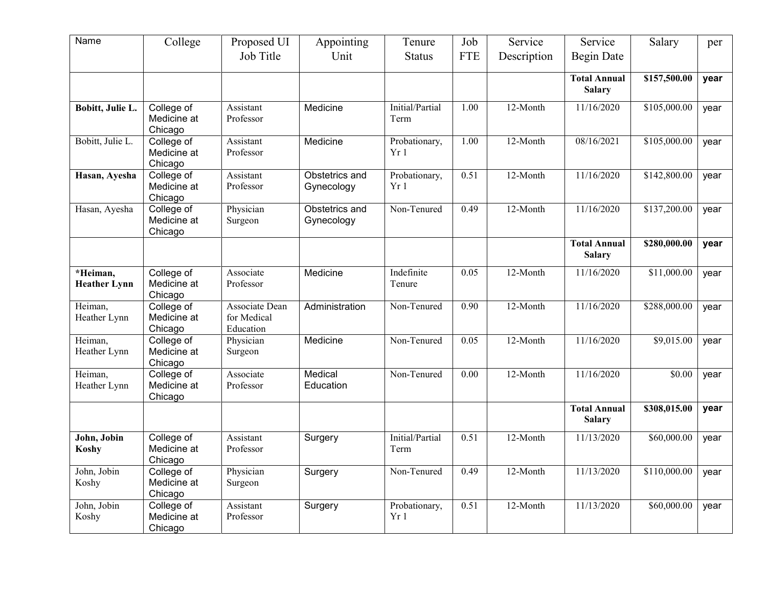| Name                            | College                              | Proposed UI                                | Appointing                   | Tenure                  | Job        | Service     | Service                              | Salary       | per  |
|---------------------------------|--------------------------------------|--------------------------------------------|------------------------------|-------------------------|------------|-------------|--------------------------------------|--------------|------|
|                                 |                                      | Job Title                                  | Unit                         | <b>Status</b>           | <b>FTE</b> | Description | Begin Date                           |              |      |
|                                 |                                      |                                            |                              |                         |            |             | <b>Total Annual</b><br><b>Salary</b> | \$157,500.00 | year |
| Bobitt, Julie L.                | College of<br>Medicine at<br>Chicago | Assistant<br>Professor                     | Medicine                     | Initial/Partial<br>Term | 1.00       | 12-Month    | 11/16/2020                           | \$105,000.00 | year |
| Bobitt, Julie L.                | College of<br>Medicine at<br>Chicago | Assistant<br>Professor                     | Medicine                     | Probationary,<br>Yr1    | 1.00       | 12-Month    | 08/16/2021                           | \$105,000.00 | year |
| Hasan, Ayesha                   | College of<br>Medicine at<br>Chicago | Assistant<br>Professor                     | Obstetrics and<br>Gynecology | Probationary,<br>Yr1    | 0.51       | 12-Month    | 11/16/2020                           | \$142,800.00 | year |
| Hasan, Ayesha                   | College of<br>Medicine at<br>Chicago | Physician<br>Surgeon                       | Obstetrics and<br>Gynecology | Non-Tenured             | 0.49       | $12$ -Month | 11/16/2020                           | \$137,200.00 | year |
|                                 |                                      |                                            |                              |                         |            |             | <b>Total Annual</b><br><b>Salary</b> | \$280,000.00 | year |
| *Heiman,<br><b>Heather Lynn</b> | College of<br>Medicine at<br>Chicago | Associate<br>Professor                     | Medicine                     | Indefinite<br>Tenure    | 0.05       | 12-Month    | 11/16/2020                           | \$11,000.00  | year |
| Heiman,<br>Heather Lynn         | College of<br>Medicine at<br>Chicago | Associate Dean<br>for Medical<br>Education | Administration               | Non-Tenured             | 0.90       | 12-Month    | 11/16/2020                           | \$288,000.00 | year |
| Heiman,<br>Heather Lynn         | College of<br>Medicine at<br>Chicago | Physician<br>Surgeon                       | Medicine                     | Non-Tenured             | 0.05       | 12-Month    | 11/16/2020                           | \$9,015.00   | year |
| Heiman,<br>Heather Lynn         | College of<br>Medicine at<br>Chicago | Associate<br>Professor                     | Medical<br>Education         | Non-Tenured             | 0.00       | 12-Month    | 11/16/2020                           | \$0.00       | year |
|                                 |                                      |                                            |                              |                         |            |             | <b>Total Annual</b><br><b>Salary</b> | \$308,015.00 | year |
| John, Jobin<br>Koshy            | College of<br>Medicine at<br>Chicago | Assistant<br>Professor                     | Surgery                      | Initial/Partial<br>Term | 0.51       | 12-Month    | 11/13/2020                           | \$60,000.00  | year |
| John, Jobin<br>Koshy            | College of<br>Medicine at<br>Chicago | Physician<br>Surgeon                       | Surgery                      | Non-Tenured             | 0.49       | 12-Month    | 11/13/2020                           | \$110,000.00 | year |
| John, Jobin<br>Koshy            | College of<br>Medicine at<br>Chicago | Assistant<br>Professor                     | Surgery                      | Probationary,<br>Yr1    | 0.51       | 12-Month    | 11/13/2020                           | \$60,000.00  | year |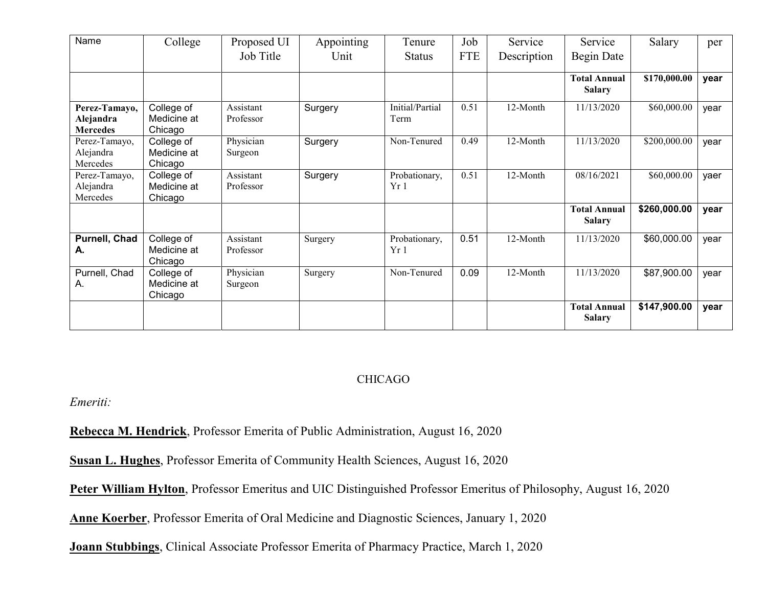| Name                                          | College                              | Proposed UI            | Appointing | Tenure                  | Job        | Service     | Service                              | Salary       | per  |
|-----------------------------------------------|--------------------------------------|------------------------|------------|-------------------------|------------|-------------|--------------------------------------|--------------|------|
|                                               |                                      | Job Title              | Unit       | <b>Status</b>           | <b>FTE</b> | Description | Begin Date                           |              |      |
|                                               |                                      |                        |            |                         |            |             | <b>Total Annual</b><br><b>Salary</b> | \$170,000.00 | year |
| Perez-Tamayo,<br>Alejandra<br><b>Mercedes</b> | College of<br>Medicine at<br>Chicago | Assistant<br>Professor | Surgery    | Initial/Partial<br>Term | 0.51       | 12-Month    | 11/13/2020                           | \$60,000.00  | year |
| Perez-Tamayo,<br>Alejandra<br>Mercedes        | College of<br>Medicine at<br>Chicago | Physician<br>Surgeon   | Surgery    | Non-Tenured             | 0.49       | 12-Month    | 11/13/2020                           | \$200,000.00 | year |
| Perez-Tamayo,<br>Alejandra<br>Mercedes        | College of<br>Medicine at<br>Chicago | Assistant<br>Professor | Surgery    | Probationary,<br>Yr 1   | 0.51       | 12-Month    | 08/16/2021                           | \$60,000.00  | yaer |
|                                               |                                      |                        |            |                         |            |             | <b>Total Annual</b><br><b>Salary</b> | \$260,000.00 | year |
| Purnell, Chad<br>А.                           | College of<br>Medicine at<br>Chicago | Assistant<br>Professor | Surgery    | Probationary,<br>Yr1    | 0.51       | 12-Month    | 11/13/2020                           | \$60,000.00  | year |
| Purnell, Chad<br>А.                           | College of<br>Medicine at<br>Chicago | Physician<br>Surgeon   | Surgery    | Non-Tenured             | 0.09       | 12-Month    | 11/13/2020                           | \$87,900.00  | year |
|                                               |                                      |                        |            |                         |            |             | <b>Total Annual</b><br><b>Salary</b> | \$147,900.00 | year |

#### CHICAGO

*Emeriti:*

**Rebecca M. Hendrick**, Professor Emerita of Public Administration, August 16, 2020

**Susan L. Hughes**, Professor Emerita of Community Health Sciences, August 16, 2020

**Peter William Hylton**, Professor Emeritus and UIC Distinguished Professor Emeritus of Philosophy, August 16, 2020

**Anne Koerber**, Professor Emerita of Oral Medicine and Diagnostic Sciences, January 1, 2020

**Joann Stubbings**, Clinical Associate Professor Emerita of Pharmacy Practice, March 1, 2020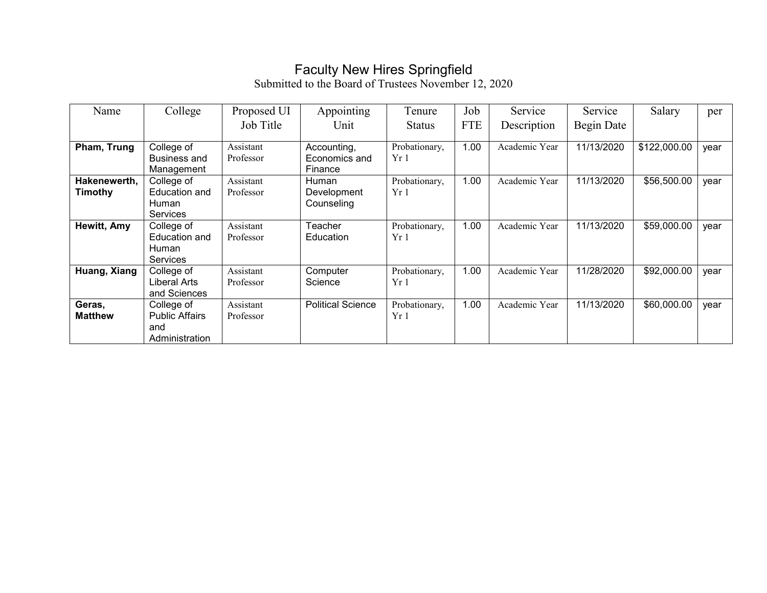## Faculty New Hires Springfield

| Name           | College               | Proposed UI | Appointing               | Tenure        | Job        | Service       | Service    | Salary       | per  |
|----------------|-----------------------|-------------|--------------------------|---------------|------------|---------------|------------|--------------|------|
|                |                       | Job Title   | Unit                     | <b>Status</b> | <b>FTE</b> | Description   | Begin Date |              |      |
|                |                       |             |                          |               |            |               |            |              |      |
| Pham, Trung    | College of            | Assistant   | Accounting,              | Probationary, | 1.00       | Academic Year | 11/13/2020 | \$122,000.00 | year |
|                | <b>Business and</b>   | Professor   | Economics and            | Yr1           |            |               |            |              |      |
|                | Management            |             | Finance                  |               |            |               |            |              |      |
| Hakenewerth,   | College of            | Assistant   | Human                    | Probationary, | 1.00       | Academic Year | 11/13/2020 | \$56,500.00  | year |
| Timothy        | <b>Education and</b>  | Professor   | Development              | Yr 1          |            |               |            |              |      |
|                | Human                 |             | Counseling               |               |            |               |            |              |      |
|                | Services              |             |                          |               |            |               |            |              |      |
| Hewitt, Amy    | College of            | Assistant   | Teacher                  | Probationary, | 1.00       | Academic Year | 11/13/2020 | \$59,000.00  | year |
|                | <b>Education and</b>  | Professor   | Education                | Yr 1          |            |               |            |              |      |
|                | <b>Human</b>          |             |                          |               |            |               |            |              |      |
|                | <b>Services</b>       |             |                          |               |            |               |            |              |      |
| Huang, Xiang   | College of            | Assistant   | Computer                 | Probationary, | 1.00       | Academic Year | 11/28/2020 | \$92,000.00  | year |
|                | Liberal Arts          | Professor   | Science                  | Yr1           |            |               |            |              |      |
|                | and Sciences          |             |                          |               |            |               |            |              |      |
| Geras,         | College of            | Assistant   | <b>Political Science</b> | Probationary, | 1.00       | Academic Year | 11/13/2020 | \$60,000.00  | year |
| <b>Matthew</b> | <b>Public Affairs</b> | Professor   |                          | Yr1           |            |               |            |              |      |
|                | and                   |             |                          |               |            |               |            |              |      |
|                | Administration        |             |                          |               |            |               |            |              |      |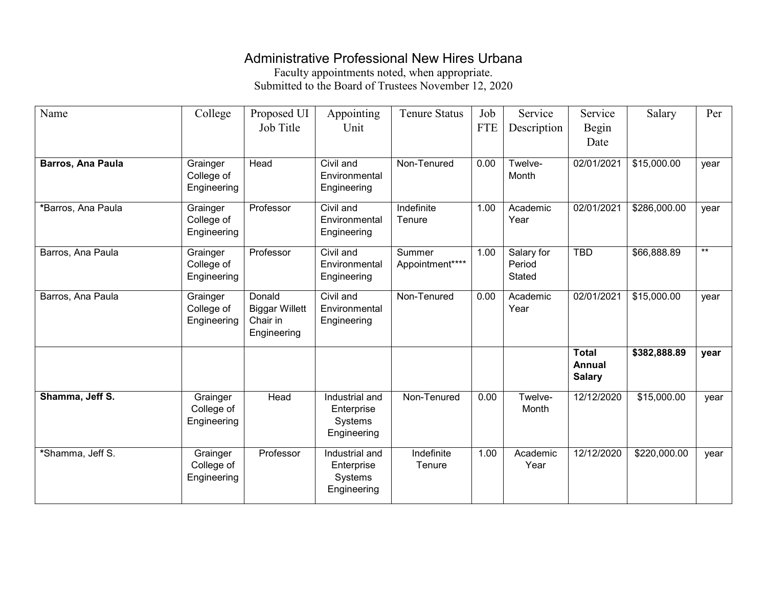### Administrative Professional New Hires Urbana

Faculty appointments noted, when appropriate. Submitted to the Board of Trustees November 12, 2020

| Name                     | College                               | Proposed UI                                                | Appointing                                             | <b>Tenure Status</b>      | Job        | Service                               | Service                                        | Salary       | Per  |
|--------------------------|---------------------------------------|------------------------------------------------------------|--------------------------------------------------------|---------------------------|------------|---------------------------------------|------------------------------------------------|--------------|------|
|                          |                                       | Job Title                                                  | Unit                                                   |                           | <b>FTE</b> | Description                           | Begin                                          |              |      |
|                          |                                       |                                                            |                                                        |                           |            |                                       | Date                                           |              |      |
| <b>Barros, Ana Paula</b> | Grainger                              | Head                                                       | Civil and                                              | Non-Tenured               | 0.00       | Twelve-                               | 02/01/2021                                     | \$15,000.00  | year |
|                          | College of<br>Engineering             |                                                            | Environmental<br>Engineering                           |                           |            | Month                                 |                                                |              |      |
| *Barros, Ana Paula       | Grainger<br>College of<br>Engineering | Professor                                                  | Civil and<br>Environmental<br>Engineering              | Indefinite<br>Tenure      | 1.00       | Academic<br>Year                      | 02/01/2021                                     | \$286,000.00 | year |
| Barros, Ana Paula        | Grainger<br>College of<br>Engineering | Professor                                                  | Civil and<br>Environmental<br>Engineering              | Summer<br>Appointment**** | 1.00       | Salary for<br>Period<br><b>Stated</b> | <b>TBD</b>                                     | \$66,888.89  | $*$  |
| Barros, Ana Paula        | Grainger<br>College of<br>Engineering | Donald<br><b>Biggar Willett</b><br>Chair in<br>Engineering | Civil and<br>Environmental<br>Engineering              | Non-Tenured               | 0.00       | Academic<br>Year                      | 02/01/2021                                     | \$15,000.00  | year |
|                          |                                       |                                                            |                                                        |                           |            |                                       | <b>Total</b><br><b>Annual</b><br><b>Salary</b> | \$382,888.89 | year |
| Shamma, Jeff S.          | Grainger<br>College of<br>Engineering | Head                                                       | Industrial and<br>Enterprise<br>Systems<br>Engineering | Non-Tenured               | 0.00       | Twelve-<br>Month                      | 12/12/2020                                     | \$15,000.00  | year |
| *Shamma, Jeff S.         | Grainger<br>College of<br>Engineering | Professor                                                  | Industrial and<br>Enterprise<br>Systems<br>Engineering | Indefinite<br>Tenure      | 1.00       | Academic<br>Year                      | 12/12/2020                                     | \$220,000.00 | year |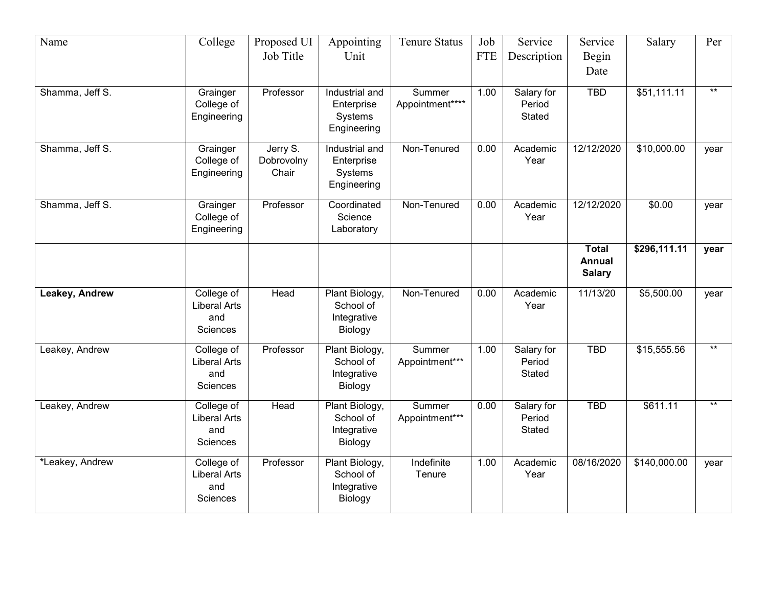| Name            | College                                                     | Proposed UI<br>Job Title        | Appointing<br>Unit                                     | <b>Tenure Status</b>      | Job<br><b>FTE</b> | Service<br>Description         | Service<br>Begin<br>Date                       | Salary       | Per   |
|-----------------|-------------------------------------------------------------|---------------------------------|--------------------------------------------------------|---------------------------|-------------------|--------------------------------|------------------------------------------------|--------------|-------|
| Shamma, Jeff S. | Grainger<br>College of<br>Engineering                       | Professor                       | Industrial and<br>Enterprise<br>Systems<br>Engineering | Summer<br>Appointment**** | 1.00              | Salary for<br>Period<br>Stated | <b>TBD</b>                                     | \$51,111.11  | $***$ |
| Shamma, Jeff S. | Grainger<br>College of<br>Engineering                       | Jerry S.<br>Dobrovolny<br>Chair | Industrial and<br>Enterprise<br>Systems<br>Engineering | Non-Tenured               | 0.00              | Academic<br>Year               | 12/12/2020                                     | \$10,000.00  | year  |
| Shamma, Jeff S. | Grainger<br>College of<br>Engineering                       | Professor                       | Coordinated<br>Science<br>Laboratory                   | Non-Tenured               | 0.00              | Academic<br>Year               | 12/12/2020                                     | \$0.00       | year  |
|                 |                                                             |                                 |                                                        |                           |                   |                                | <b>Total</b><br><b>Annual</b><br><b>Salary</b> | \$296,111.11 | year  |
| Leakey, Andrew  | College of<br><b>Liberal Arts</b><br>and<br>Sciences        | Head                            | Plant Biology,<br>School of<br>Integrative<br>Biology  | Non-Tenured               | 0.00              | Academic<br>Year               | 11/13/20                                       | \$5,500.00   | year  |
| Leakey, Andrew  | College of<br><b>Liberal Arts</b><br>and<br>Sciences        | Professor                       | Plant Biology,<br>School of<br>Integrative<br>Biology  | Summer<br>Appointment***  | 1.00              | Salary for<br>Period<br>Stated | <b>TBD</b>                                     | \$15,555.56  | $***$ |
| Leakey, Andrew  | College of<br><b>Liberal Arts</b><br>and<br>Sciences        | Head                            | Plant Biology,<br>School of<br>Integrative<br>Biology  | Summer<br>Appointment***  | 0.00              | Salary for<br>Period<br>Stated | <b>TBD</b>                                     | \$611.11     | $***$ |
| *Leakey, Andrew | College of<br><b>Liberal Arts</b><br>and<br><b>Sciences</b> | Professor                       | Plant Biology,<br>School of<br>Integrative<br>Biology  | Indefinite<br>Tenure      | 1.00              | Academic<br>Year               | 08/16/2020                                     | \$140,000.00 | year  |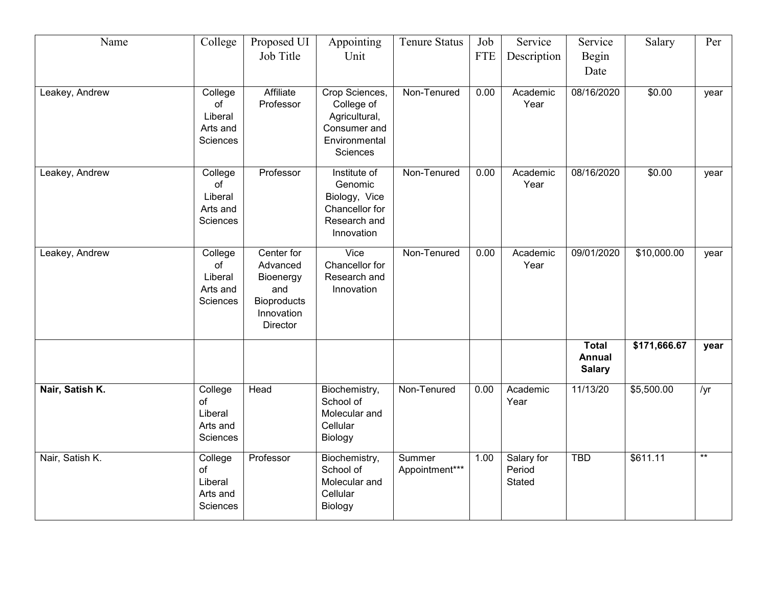| Name            | College  | Proposed UI        | Appointing     | <b>Tenure Status</b> | Job        | Service     | Service       | Salary       | Per        |
|-----------------|----------|--------------------|----------------|----------------------|------------|-------------|---------------|--------------|------------|
|                 |          | Job Title          | Unit           |                      | <b>FTE</b> | Description | Begin         |              |            |
|                 |          |                    |                |                      |            |             | Date          |              |            |
| Leakey, Andrew  | College  | Affiliate          | Crop Sciences, | Non-Tenured          | 0.00       | Academic    | 08/16/2020    | \$0.00       |            |
|                 | of       | Professor          | College of     |                      |            | Year        |               |              | year       |
|                 | Liberal  |                    | Agricultural,  |                      |            |             |               |              |            |
|                 | Arts and |                    | Consumer and   |                      |            |             |               |              |            |
|                 | Sciences |                    | Environmental  |                      |            |             |               |              |            |
|                 |          |                    | Sciences       |                      |            |             |               |              |            |
| Leakey, Andrew  | College  | Professor          | Institute of   | Non-Tenured          | 0.00       | Academic    | 08/16/2020    | \$0.00       | year       |
|                 | of       |                    | Genomic        |                      |            | Year        |               |              |            |
|                 | Liberal  |                    | Biology, Vice  |                      |            |             |               |              |            |
|                 | Arts and |                    | Chancellor for |                      |            |             |               |              |            |
|                 | Sciences |                    | Research and   |                      |            |             |               |              |            |
|                 |          |                    | Innovation     |                      |            |             |               |              |            |
| Leakey, Andrew  | College  | Center for         | Vice           | Non-Tenured          | 0.00       | Academic    | 09/01/2020    | \$10,000.00  | year       |
|                 | of       | Advanced           | Chancellor for |                      |            | Year        |               |              |            |
|                 | Liberal  | Bioenergy          | Research and   |                      |            |             |               |              |            |
|                 | Arts and | and                | Innovation     |                      |            |             |               |              |            |
|                 | Sciences | <b>Bioproducts</b> |                |                      |            |             |               |              |            |
|                 |          | Innovation         |                |                      |            |             |               |              |            |
|                 |          | Director           |                |                      |            |             |               |              |            |
|                 |          |                    |                |                      |            |             | <b>Total</b>  | \$171,666.67 | year       |
|                 |          |                    |                |                      |            |             | <b>Annual</b> |              |            |
|                 |          |                    |                |                      |            |             | <b>Salary</b> |              |            |
| Nair, Satish K. | College  | Head               | Biochemistry,  | Non-Tenured          | 0.00       | Academic    | 11/13/20      | \$5,500.00   | /yr        |
|                 | of       |                    | School of      |                      |            | Year        |               |              |            |
|                 | Liberal  |                    | Molecular and  |                      |            |             |               |              |            |
|                 | Arts and |                    | Cellular       |                      |            |             |               |              |            |
|                 | Sciences |                    | Biology        |                      |            |             |               |              |            |
| Nair, Satish K. | College  | Professor          | Biochemistry,  | Summer               | 1.00       | Salary for  | <b>TBD</b>    | \$611.11     | $\ast\ast$ |
|                 | of       |                    | School of      | Appointment***       |            | Period      |               |              |            |
|                 | Liberal  |                    | Molecular and  |                      |            | Stated      |               |              |            |
|                 | Arts and |                    | Cellular       |                      |            |             |               |              |            |
|                 | Sciences |                    | Biology        |                      |            |             |               |              |            |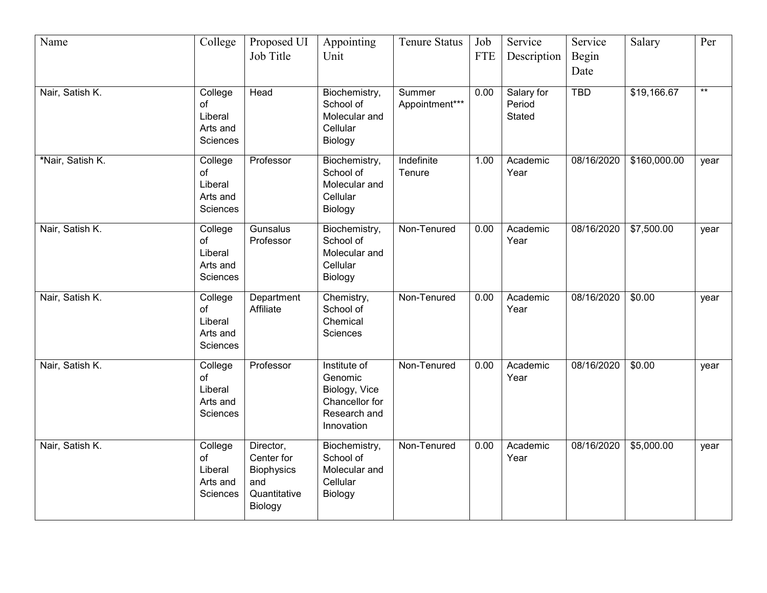| Name             | College                                          | Proposed UI                                                             | Appointing                                                                               | <b>Tenure Status</b>     | Job        | Service                               | Service       | Salary       | Per   |
|------------------|--------------------------------------------------|-------------------------------------------------------------------------|------------------------------------------------------------------------------------------|--------------------------|------------|---------------------------------------|---------------|--------------|-------|
|                  |                                                  | Job Title                                                               | Unit                                                                                     |                          | <b>FTE</b> | Description                           | Begin<br>Date |              |       |
| Nair, Satish K.  | College<br>of<br>Liberal<br>Arts and<br>Sciences | Head                                                                    | Biochemistry,<br>School of<br>Molecular and<br>Cellular<br>Biology                       | Summer<br>Appointment*** | 0.00       | Salary for<br>Period<br><b>Stated</b> | <b>TBD</b>    | \$19,166.67  | $***$ |
| *Nair, Satish K. | College<br>of<br>Liberal<br>Arts and<br>Sciences | Professor                                                               | Biochemistry,<br>School of<br>Molecular and<br>Cellular<br>Biology                       | Indefinite<br>Tenure     | 1.00       | Academic<br>Year                      | 08/16/2020    | \$160,000.00 | year  |
| Nair, Satish K.  | College<br>of<br>Liberal<br>Arts and<br>Sciences | Gunsalus<br>Professor                                                   | Biochemistry,<br>School of<br>Molecular and<br>Cellular<br>Biology                       | Non-Tenured              | 0.00       | Academic<br>Year                      | 08/16/2020    | \$7,500.00   | year  |
| Nair, Satish K.  | College<br>of<br>Liberal<br>Arts and<br>Sciences | Department<br>Affiliate                                                 | Chemistry,<br>School of<br>Chemical<br>Sciences                                          | Non-Tenured              | 0.00       | Academic<br>Year                      | 08/16/2020    | \$0.00       | year  |
| Nair, Satish K.  | College<br>of<br>Liberal<br>Arts and<br>Sciences | Professor                                                               | Institute of<br>Genomic<br>Biology, Vice<br>Chancellor for<br>Research and<br>Innovation | Non-Tenured              | 0.00       | Academic<br>Year                      | 08/16/2020    | \$0.00       | year  |
| Nair, Satish K.  | College<br>of<br>Liberal<br>Arts and<br>Sciences | Director,<br>Center for<br>Biophysics<br>and<br>Quantitative<br>Biology | Biochemistry,<br>School of<br>Molecular and<br>Cellular<br>Biology                       | Non-Tenured              | 0.00       | Academic<br>Year                      | 08/16/2020    | \$5,000.00   | year  |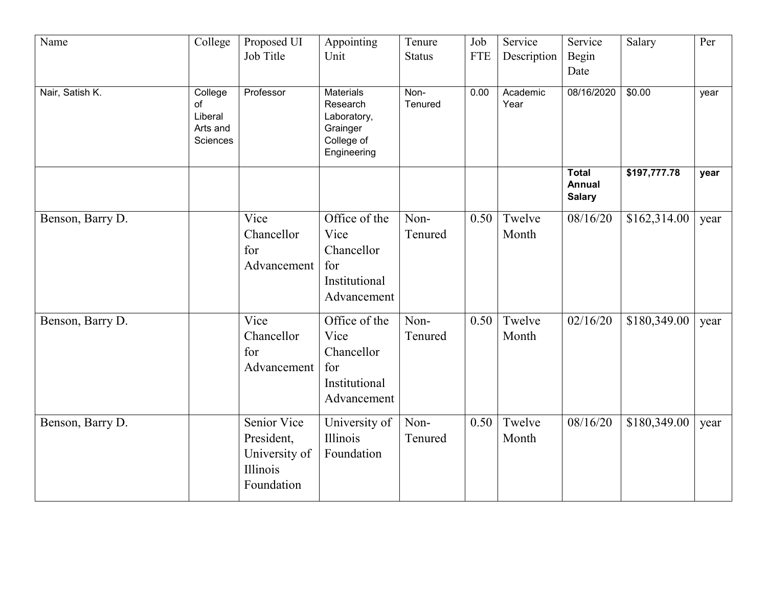| Name             | College                                          | Proposed UI<br>Job Title                                             | Appointing<br>Unit                                                                   | Tenure<br><b>Status</b> | Job<br><b>FTE</b> | Service<br>Description | Service<br>Begin<br>Date                | Salary       | Per  |
|------------------|--------------------------------------------------|----------------------------------------------------------------------|--------------------------------------------------------------------------------------|-------------------------|-------------------|------------------------|-----------------------------------------|--------------|------|
| Nair, Satish K.  | College<br>of<br>Liberal<br>Arts and<br>Sciences | Professor                                                            | <b>Materials</b><br>Research<br>Laboratory,<br>Grainger<br>College of<br>Engineering | Non-<br>Tenured         | 0.00              | Academic<br>Year       | 08/16/2020                              | \$0.00       | year |
|                  |                                                  |                                                                      |                                                                                      |                         |                   |                        | Total<br><b>Annual</b><br><b>Salary</b> | \$197,777.78 | year |
| Benson, Barry D. |                                                  | Vice<br>Chancellor<br>for<br>Advancement                             | Office of the<br>Vice<br>Chancellor<br>for<br>Institutional<br>Advancement           | Non-<br>Tenured         | 0.50              | Twelve<br>Month        | 08/16/20                                | \$162,314.00 | year |
| Benson, Barry D. |                                                  | Vice<br>Chancellor<br>for<br>Advancement                             | Office of the<br>Vice<br>Chancellor<br>for<br>Institutional<br>Advancement           | Non-<br>Tenured         | 0.50              | Twelve<br>Month        | $\sqrt{02}/16/20$                       | \$180,349.00 | year |
| Benson, Barry D. |                                                  | Senior Vice<br>President,<br>University of<br>Illinois<br>Foundation | University of<br>Illinois<br>Foundation                                              | Non-<br>Tenured         | 0.50              | Twelve<br>Month        | 08/16/20                                | \$180,349.00 | year |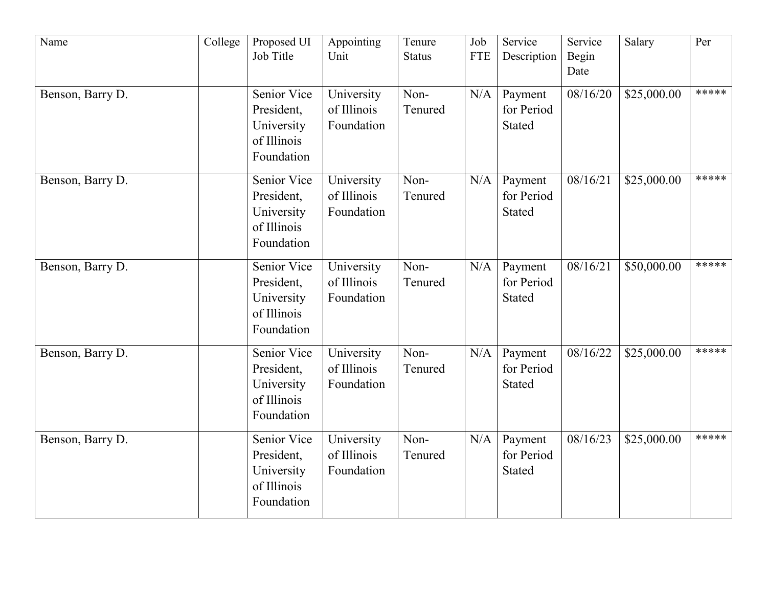| Name             | College | Proposed UI<br>Job Title                                             | Appointing<br>Unit                      | Tenure<br><b>Status</b> | Job<br><b>FTE</b> | Service<br>Description                 | Service<br>Begin<br>Date | Salary      | Per   |
|------------------|---------|----------------------------------------------------------------------|-----------------------------------------|-------------------------|-------------------|----------------------------------------|--------------------------|-------------|-------|
| Benson, Barry D. |         | Senior Vice<br>President,<br>University<br>of Illinois<br>Foundation | University<br>of Illinois<br>Foundation | Non-<br>Tenured         | N/A               | Payment<br>for Period<br><b>Stated</b> | 08/16/20                 | \$25,000.00 | ***** |
| Benson, Barry D. |         | Senior Vice<br>President,<br>University<br>of Illinois<br>Foundation | University<br>of Illinois<br>Foundation | Non-<br>Tenured         | N/A               | Payment<br>for Period<br><b>Stated</b> | 08/16/21                 | \$25,000.00 | ***** |
| Benson, Barry D. |         | Senior Vice<br>President,<br>University<br>of Illinois<br>Foundation | University<br>of Illinois<br>Foundation | Non-<br>Tenured         | N/A               | Payment<br>for Period<br><b>Stated</b> | 08/16/21                 | \$50,000.00 | ***** |
| Benson, Barry D. |         | Senior Vice<br>President,<br>University<br>of Illinois<br>Foundation | University<br>of Illinois<br>Foundation | Non-<br>Tenured         | N/A               | Payment<br>for Period<br><b>Stated</b> | 08/16/22                 | \$25,000.00 | ***** |
| Benson, Barry D. |         | Senior Vice<br>President,<br>University<br>of Illinois<br>Foundation | University<br>of Illinois<br>Foundation | Non-<br>Tenured         | N/A               | Payment<br>for Period<br><b>Stated</b> | 08/16/23                 | \$25,000.00 | ***** |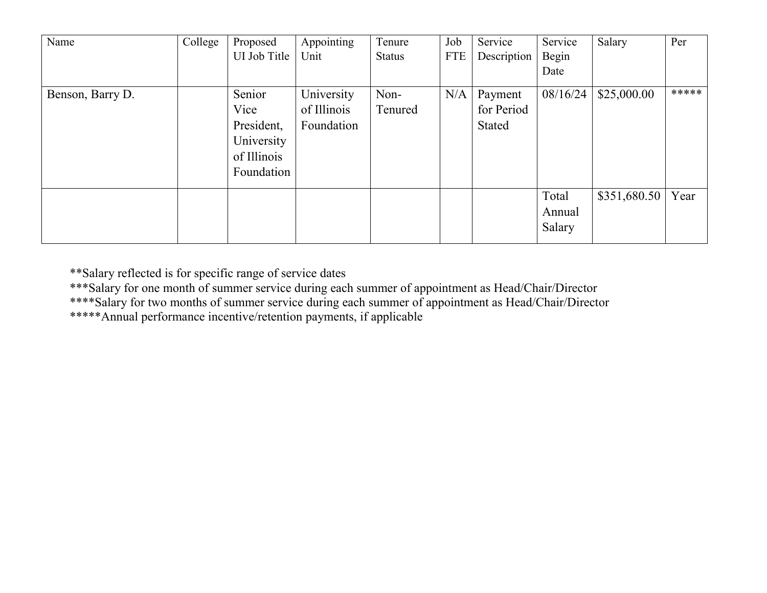| Name             | College | Proposed<br>UI Job Title                                                | Appointing<br>Unit                      | Tenure<br><b>Status</b> | Job<br><b>FTE</b> | Service<br>Description          | Service<br>Begin<br>Date  | Salary       | Per   |
|------------------|---------|-------------------------------------------------------------------------|-----------------------------------------|-------------------------|-------------------|---------------------------------|---------------------------|--------------|-------|
| Benson, Barry D. |         | Senior<br>Vice<br>President,<br>University<br>of Illinois<br>Foundation | University<br>of Illinois<br>Foundation | Non-<br>Tenured         | N/A               | Payment<br>for Period<br>Stated | 08/16/24                  | \$25,000.00  | ***** |
|                  |         |                                                                         |                                         |                         |                   |                                 | Total<br>Annual<br>Salary | \$351,680.50 | Year  |

\*\*Salary reflected is for specific range of service dates

\*\*\*Salary for one month of summer service during each summer of appointment as Head/Chair/Director

\*\*\*\*Salary for two months of summer service during each summer of appointment as Head/Chair/Director

\*\*\*\*\*Annual performance incentive/retention payments, if applicable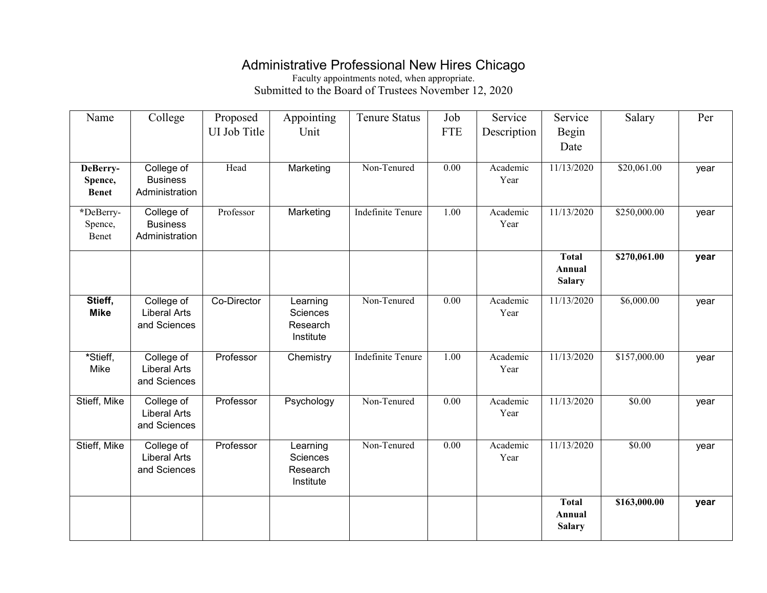### Administrative Professional New Hires Chicago

Faculty appointments noted, when appropriate. Submitted to the Board of Trustees November 12, 2020

| Name                                | College                                           | Proposed<br>UI Job Title | Appointing<br>Unit                            | <b>Tenure Status</b>     | Job<br><b>FTE</b> | Service<br>Description | Service<br>Begin<br>Date                | Salary       | Per  |
|-------------------------------------|---------------------------------------------------|--------------------------|-----------------------------------------------|--------------------------|-------------------|------------------------|-----------------------------------------|--------------|------|
| DeBerry-<br>Spence,<br><b>Benet</b> | College of<br><b>Business</b><br>Administration   | Head                     | Marketing                                     | Non-Tenured              | 0.00              | Academic<br>Year       | 11/13/2020                              | \$20,061.00  | year |
| *DeBerry-<br>Spence,<br>Benet       | College of<br><b>Business</b><br>Administration   | Professor                | Marketing                                     | <b>Indefinite Tenure</b> | 1.00              | Academic<br>Year       | 11/13/2020                              | \$250,000.00 | year |
|                                     |                                                   |                          |                                               |                          |                   |                        | <b>Total</b><br>Annual<br><b>Salary</b> | \$270,061.00 | year |
| Stieff,<br><b>Mike</b>              | College of<br><b>Liberal Arts</b><br>and Sciences | Co-Director              | Learning<br>Sciences<br>Research<br>Institute | Non-Tenured              | 0.00              | Academic<br>Year       | 11/13/2020                              | \$6,000.00   | year |
| *Stieff,<br>Mike                    | College of<br><b>Liberal Arts</b><br>and Sciences | Professor                | Chemistry                                     | <b>Indefinite Tenure</b> | 1.00              | Academic<br>Year       | 11/13/2020                              | \$157,000.00 | year |
| Stieff, Mike                        | College of<br><b>Liberal Arts</b><br>and Sciences | Professor                | Psychology                                    | Non-Tenured              | $\overline{0.00}$ | Academic<br>Year       | 11/13/2020                              | \$0.00       | year |
| Stieff, Mike                        | College of<br><b>Liberal Arts</b><br>and Sciences | Professor                | Learning<br>Sciences<br>Research<br>Institute | Non-Tenured              | $\overline{0.00}$ | Academic<br>Year       | 11/13/2020                              | \$0.00       | year |
|                                     |                                                   |                          |                                               |                          |                   |                        | <b>Total</b><br>Annual<br><b>Salary</b> | \$163,000.00 | year |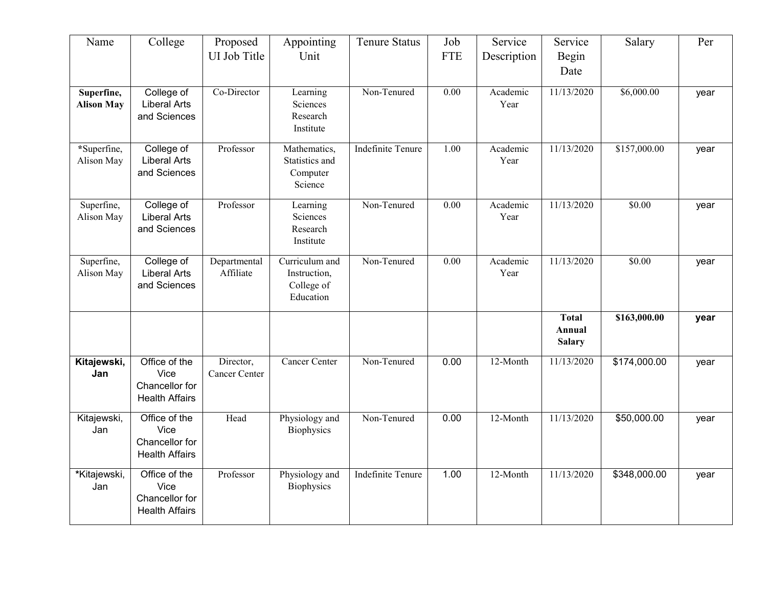| Name                            | College                                                          | Proposed<br>UI Job Title   | Appointing<br>Unit                                        | <b>Tenure Status</b>     | Job<br><b>FTE</b> | Service<br>Description | Service<br>Begin<br>Date                | Salary       | Per  |
|---------------------------------|------------------------------------------------------------------|----------------------------|-----------------------------------------------------------|--------------------------|-------------------|------------------------|-----------------------------------------|--------------|------|
| Superfine,<br><b>Alison May</b> | College of<br><b>Liberal Arts</b><br>and Sciences                | Co-Director                | Learning<br>Sciences<br>Research<br>Institute             | Non-Tenured              | $\overline{0.00}$ | Academic<br>Year       | 11/13/2020                              | \$6,000.00   | year |
| *Superfine,<br>Alison May       | College of<br><b>Liberal Arts</b><br>and Sciences                | Professor                  | Mathematics,<br>Statistics and<br>Computer<br>Science     | <b>Indefinite Tenure</b> | 1.00              | Academic<br>Year       | 11/13/2020                              | \$157,000.00 | year |
| Superfine,<br>Alison May        | College of<br><b>Liberal Arts</b><br>and Sciences                | Professor                  | Learning<br>Sciences<br>Research<br>Institute             | Non-Tenured              | 0.00              | Academic<br>Year       | 11/13/2020                              | \$0.00       | year |
| Superfine,<br>Alison May        | College of<br><b>Liberal Arts</b><br>and Sciences                | Departmental<br>Affiliate  | Curriculum and<br>Instruction,<br>College of<br>Education | Non-Tenured              | 0.00              | Academic<br>Year       | 11/13/2020                              | \$0.00       | year |
|                                 |                                                                  |                            |                                                           |                          |                   |                        | <b>Total</b><br>Annual<br><b>Salary</b> | \$163,000.00 | year |
| Kitajewski,<br>Jan              | Office of the<br>Vice<br>Chancellor for<br><b>Health Affairs</b> | Director,<br>Cancer Center | <b>Cancer Center</b>                                      | Non-Tenured              | 0.00              | 12-Month               | 11/13/2020                              | \$174,000.00 | year |
| Kitajewski,<br>Jan              | Office of the<br>Vice<br>Chancellor for<br><b>Health Affairs</b> | Head                       | Physiology and<br>Biophysics                              | Non-Tenured              | 0.00              | 12-Month               | 11/13/2020                              | \$50,000.00  | year |
| *Kitajewski,<br>Jan             | Office of the<br>Vice<br>Chancellor for<br><b>Health Affairs</b> | Professor                  | Physiology and<br><b>Biophysics</b>                       | <b>Indefinite Tenure</b> | 1.00              | 12-Month               | 11/13/2020                              | \$348,000.00 | year |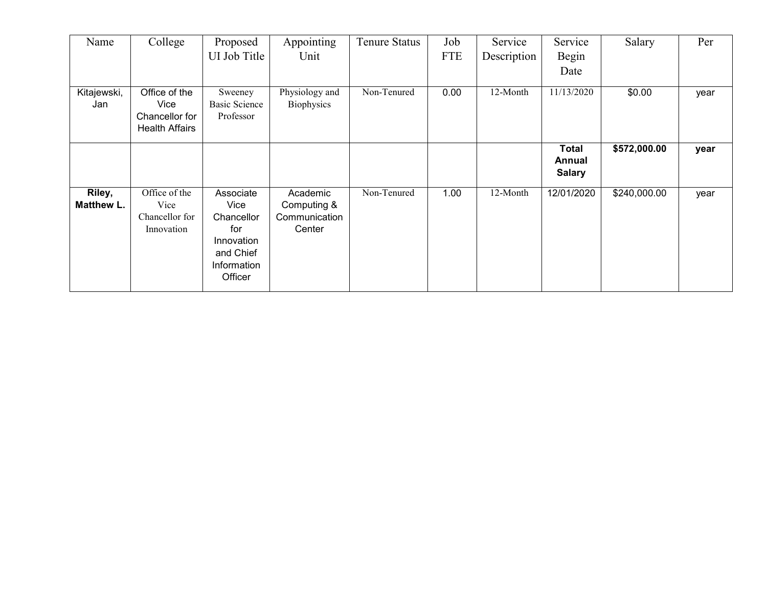| Name                 | College                                                          | Proposed<br>UI Job Title                                                                    | Appointing<br>Unit                                 | Tenure Status | Job<br><b>FTE</b> | Service<br>Description | Service<br>Begin                        | Salary       | Per  |
|----------------------|------------------------------------------------------------------|---------------------------------------------------------------------------------------------|----------------------------------------------------|---------------|-------------------|------------------------|-----------------------------------------|--------------|------|
|                      |                                                                  |                                                                                             |                                                    |               |                   |                        | Date                                    |              |      |
| Kitajewski,<br>Jan   | Office of the<br>Vice<br>Chancellor for<br><b>Health Affairs</b> | Sweeney<br><b>Basic Science</b><br>Professor                                                | Physiology and<br>Biophysics                       | Non-Tenured   | 0.00              | 12-Month               | 11/13/2020                              | \$0.00       | year |
|                      |                                                                  |                                                                                             |                                                    |               |                   |                        | <b>Total</b><br>Annual<br><b>Salary</b> | \$572,000.00 | year |
| Riley,<br>Matthew L. | Office of the<br>Vice<br>Chancellor for<br>Innovation            | Associate<br>Vice<br>Chancellor<br>for<br>Innovation<br>and Chief<br>Information<br>Officer | Academic<br>Computing &<br>Communication<br>Center | Non-Tenured   | 1.00              | 12-Month               | 12/01/2020                              | \$240,000.00 | year |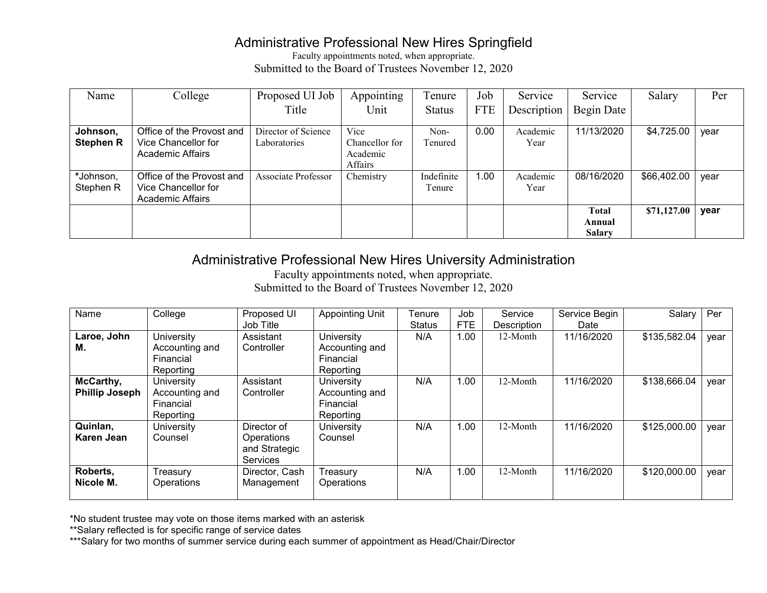#### Administrative Professional New Hires Springfield

Faculty appointments noted, when appropriate. Submitted to the Board of Trustees November 12, 2020

| Name             | College                   | Proposed UI Job     | Appointing     | Tenure        | Job        | Service     | Service       | Salary      | Per  |
|------------------|---------------------------|---------------------|----------------|---------------|------------|-------------|---------------|-------------|------|
|                  |                           | Title               | Unit           | <b>Status</b> | <b>FTE</b> | Description | Begin Date    |             |      |
| Johnson,         | Office of the Provost and | Director of Science | Vice           | Non-          | 0.00       | Academic    | 11/13/2020    | \$4,725.00  | year |
| <b>Stephen R</b> | Vice Chancellor for       | Laboratories        | Chancellor for | Tenured       |            | Year        |               |             |      |
|                  | <b>Academic Affairs</b>   |                     | Academic       |               |            |             |               |             |      |
|                  |                           |                     | Affairs        |               |            |             |               |             |      |
| *Johnson,        | Office of the Provost and | Associate Professor | Chemistry      | Indefinite    | 00.1       | Academic    | 08/16/2020    | \$66,402.00 | year |
| Stephen R        | Vice Chancellor for       |                     |                | Tenure        |            | Year        |               |             |      |
|                  | Academic Affairs          |                     |                |               |            |             |               |             |      |
|                  |                           |                     |                |               |            |             | <b>Total</b>  | \$71,127.00 | year |
|                  |                           |                     |                |               |            |             | Annual        |             |      |
|                  |                           |                     |                |               |            |             | <b>Salary</b> |             |      |

### Administrative Professional New Hires University Administration

Faculty appointments noted, when appropriate. Submitted to the Board of Trustees November 12, 2020

| Name                  | College        | Proposed UI     | <b>Appointing Unit</b> | Tenure        | Job        | Service     | Service Begin | Salary       | Per  |
|-----------------------|----------------|-----------------|------------------------|---------------|------------|-------------|---------------|--------------|------|
|                       |                | Job Title       |                        | <b>Status</b> | <b>FTE</b> | Description | Date          |              |      |
| Laroe, John           | University     | Assistant       | University             | N/A           | 1.00       | 12-Month    | 11/16/2020    | \$135,582.04 | vear |
| М.                    | Accounting and | Controller      | Accounting and         |               |            |             |               |              |      |
|                       | Financial      |                 | Financial              |               |            |             |               |              |      |
|                       | Reporting      |                 | Reporting              |               |            |             |               |              |      |
| McCarthy,             | University     | Assistant       | University             | N/A           | 1.00       | 12-Month    | 11/16/2020    | \$138,666.04 | year |
| <b>Phillip Joseph</b> | Accounting and | Controller      | Accounting and         |               |            |             |               |              |      |
|                       | Financial      |                 | Financial              |               |            |             |               |              |      |
|                       | Reporting      |                 | Reporting              |               |            |             |               |              |      |
| Quinlan,              | University     | Director of     | University             | N/A           | 1.00       | 12-Month    | 11/16/2020    | \$125,000.00 | vear |
| Karen Jean            | Counsel        | Operations      | Counsel                |               |            |             |               |              |      |
|                       |                | and Strategic   |                        |               |            |             |               |              |      |
|                       |                | <b>Services</b> |                        |               |            |             |               |              |      |
| Roberts,              | Treasury       | Director, Cash  | Treasury               | N/A           | 1.00       | 12-Month    | 11/16/2020    | \$120,000.00 | year |
| Nicole M.             | Operations     | Management      | Operations             |               |            |             |               |              |      |
|                       |                |                 |                        |               |            |             |               |              |      |

\*No student trustee may vote on those items marked with an asterisk

\*\*Salary reflected is for specific range of service dates

\*\*\*Salary for two months of summer service during each summer of appointment as Head/Chair/Director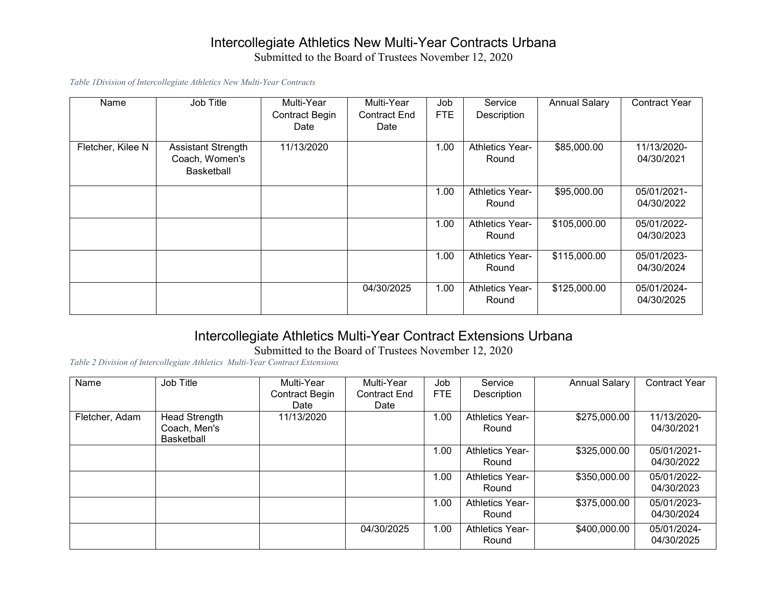#### Intercollegiate Athletics New Multi-Year Contracts Urbana Submitted to the Board of Trustees November 12, 2020

*Table 1Division of Intercollegiate Athletics New Multi-Year Contracts*

| Name              | Job Title                                                 | Multi-Year<br><b>Contract Begin</b><br>Date | Multi-Year<br><b>Contract End</b><br>Date | Job<br><b>FTE</b> | Service<br>Description          | <b>Annual Salary</b> | <b>Contract Year</b>      |
|-------------------|-----------------------------------------------------------|---------------------------------------------|-------------------------------------------|-------------------|---------------------------------|----------------------|---------------------------|
| Fletcher, Kilee N | <b>Assistant Strength</b><br>Coach, Women's<br>Basketball | 11/13/2020                                  |                                           | 1.00              | <b>Athletics Year-</b><br>Round | \$85,000.00          | 11/13/2020-<br>04/30/2021 |
|                   |                                                           |                                             |                                           | 1.00              | <b>Athletics Year-</b><br>Round | \$95,000.00          | 05/01/2021-<br>04/30/2022 |
|                   |                                                           |                                             |                                           | 1.00              | <b>Athletics Year-</b><br>Round | \$105,000.00         | 05/01/2022-<br>04/30/2023 |
|                   |                                                           |                                             |                                           | 1.00              | <b>Athletics Year-</b><br>Round | \$115,000.00         | 05/01/2023-<br>04/30/2024 |
|                   |                                                           |                                             | 04/30/2025                                | 1.00              | <b>Athletics Year-</b><br>Round | \$125,000.00         | 05/01/2024-<br>04/30/2025 |

### Intercollegiate Athletics Multi-Year Contract Extensions Urbana

Submitted to the Board of Trustees November 12, 2020

*Table 2 Division of Intercollegiate Athletics Multi-Year Contract Extensions*

| Name           | Job Title         | Multi-Year            | Multi-Year          | Job        | Service                | <b>Annual Salary</b> | <b>Contract Year</b> |
|----------------|-------------------|-----------------------|---------------------|------------|------------------------|----------------------|----------------------|
|                |                   | <b>Contract Begin</b> | <b>Contract End</b> | <b>FTE</b> | Description            |                      |                      |
|                |                   | Date                  | Date                |            |                        |                      |                      |
| Fletcher, Adam | Head Strength     | 11/13/2020            |                     | 1.00       | <b>Athletics Year-</b> | \$275,000.00         | 11/13/2020-          |
|                | Coach, Men's      |                       |                     |            | Round                  |                      | 04/30/2021           |
|                | <b>Basketball</b> |                       |                     |            |                        |                      |                      |
|                |                   |                       |                     | 1.00       | <b>Athletics Year-</b> | \$325,000.00         | 05/01/2021-          |
|                |                   |                       |                     |            | Round                  |                      | 04/30/2022           |
|                |                   |                       |                     | 0.001      | <b>Athletics Year-</b> | \$350,000.00         | 05/01/2022-          |
|                |                   |                       |                     |            | Round                  |                      | 04/30/2023           |
|                |                   |                       |                     | 1.00       | <b>Athletics Year-</b> | \$375,000.00         | 05/01/2023-          |
|                |                   |                       |                     |            | Round                  |                      | 04/30/2024           |
|                |                   |                       | 04/30/2025          | 1.00       | <b>Athletics Year-</b> | \$400,000.00         | 05/01/2024-          |
|                |                   |                       |                     |            | Round                  |                      | 04/30/2025           |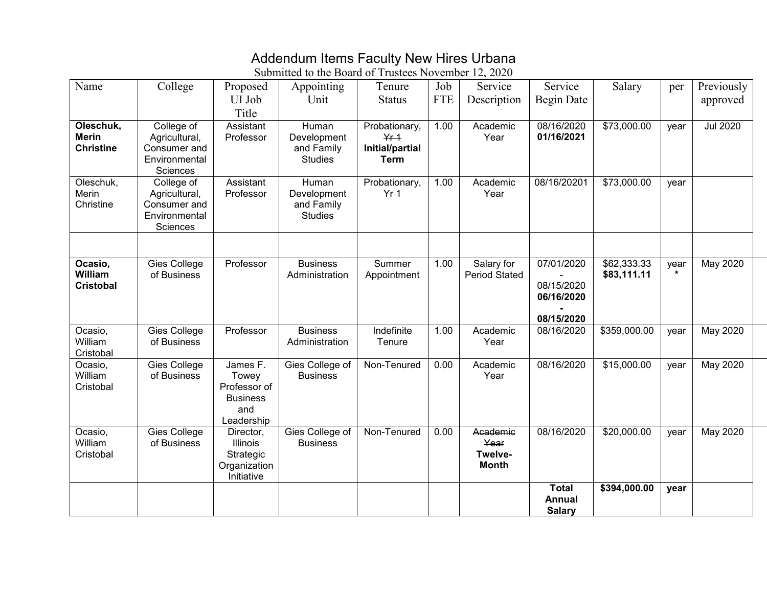### Addendum Items Faculty New Hires Urbana

| Name                                          | College                                                                  | Proposed<br>UI Job<br>Title                                               | Appointing<br>Unit                                   | Tenure<br><b>Status</b>                                     | Job<br><b>FTE</b> | Service<br>Description                      | Service<br>Begin Date                                | Salary                     | per             | Previously<br>approved |
|-----------------------------------------------|--------------------------------------------------------------------------|---------------------------------------------------------------------------|------------------------------------------------------|-------------------------------------------------------------|-------------------|---------------------------------------------|------------------------------------------------------|----------------------------|-----------------|------------------------|
| Oleschuk,<br><b>Merin</b><br><b>Christine</b> | College of<br>Agricultural,<br>Consumer and<br>Environmental<br>Sciences | Assistant<br>Professor                                                    | Human<br>Development<br>and Family<br><b>Studies</b> | Probationary,<br>$Yf + 1$<br>Initial/partial<br><b>Term</b> | 1.00              | Academic<br>Year                            | 08/16/2020<br>01/16/2021                             | \$73,000.00                | year            | <b>Jul 2020</b>        |
| Oleschuk,<br>Merin<br>Christine               | College of<br>Agricultural,<br>Consumer and<br>Environmental<br>Sciences | Assistant<br>Professor                                                    | Human<br>Development<br>and Family<br><b>Studies</b> | Probationary,<br>Yr <sub>1</sub>                            | 1.00              | Academic<br>Year                            | 08/16/20201                                          | \$73,000.00                | year            |                        |
| Ocasio,<br>William<br><b>Cristobal</b>        | <b>Gies College</b><br>of Business                                       | Professor                                                                 | <b>Business</b><br>Administration                    | Summer<br>Appointment                                       | 1.00              | Salary for<br><b>Period Stated</b>          | 07/01/2020<br>08/15/2020<br>06/16/2020<br>08/15/2020 | \$62,333.33<br>\$83,111.11 | year<br>$\star$ | <b>May 2020</b>        |
| Ocasio,<br>William<br>Cristobal               | Gies College<br>of Business                                              | Professor                                                                 | <b>Business</b><br>Administration                    | Indefinite<br>Tenure                                        | 1.00              | Academic<br>Year                            | 08/16/2020                                           | \$359,000.00               | year            | May 2020               |
| Ocasio,<br>William<br>Cristobal               | <b>Gies College</b><br>of Business                                       | James F.<br>Towey<br>Professor of<br><b>Business</b><br>and<br>Leadership | Gies College of<br><b>Business</b>                   | Non-Tenured                                                 | 0.00              | Academic<br>Year                            | 08/16/2020                                           | \$15,000.00                | year            | May 2020               |
| Ocasio,<br>William<br>Cristobal               | Gies College<br>of Business                                              | Director,<br>Illinois<br>Strategic<br>Organization<br>Initiative          | Gies College of<br><b>Business</b>                   | Non-Tenured                                                 | 0.00              | Academic<br>Year<br>Twelve-<br><b>Month</b> | 08/16/2020                                           | \$20,000.00                | year            | May 2020               |
|                                               |                                                                          |                                                                           |                                                      |                                                             |                   |                                             | <b>Total</b><br><b>Annual</b><br><b>Salary</b>       | \$394,000.00               | year            |                        |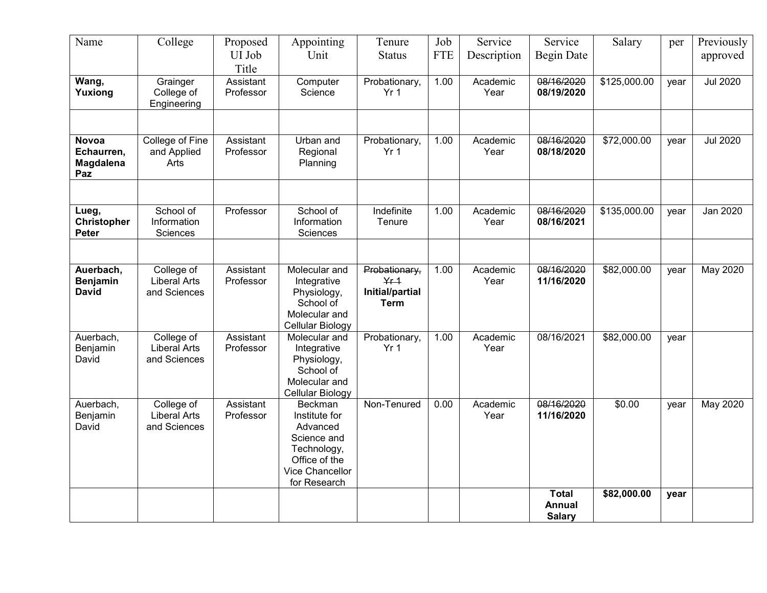| Name                                           | College                                           | Proposed<br>UI Job<br>Title | Appointing<br>Unit                                                                                                            | Tenure<br><b>Status</b>                                            | Job<br><b>FTE</b> | Service<br>Description | Service<br><b>Begin Date</b>                   | Salary       | per  | Previously<br>approved |
|------------------------------------------------|---------------------------------------------------|-----------------------------|-------------------------------------------------------------------------------------------------------------------------------|--------------------------------------------------------------------|-------------------|------------------------|------------------------------------------------|--------------|------|------------------------|
| Wang,<br>Yuxiong                               | Grainger<br>College of<br>Engineering             | Assistant<br>Professor      | Computer<br>Science                                                                                                           | Probationary,<br>Yr <sub>1</sub>                                   | 1.00              | Academic<br>Year       | 08/16/2020<br>08/19/2020                       | \$125,000.00 | year | <b>Jul 2020</b>        |
|                                                |                                                   |                             |                                                                                                                               |                                                                    |                   |                        |                                                |              |      |                        |
| <b>Novoa</b><br>Echaurren,<br>Magdalena<br>Paz | <b>College of Fine</b><br>and Applied<br>Arts     | Assistant<br>Professor      | Urban and<br>Regional<br>Planning                                                                                             | Probationary,<br>Yr <sub>1</sub>                                   | 1.00              | Academic<br>Year       | 08/16/2020<br>08/18/2020                       | \$72,000.00  | year | <b>Jul 2020</b>        |
|                                                |                                                   |                             |                                                                                                                               |                                                                    |                   |                        |                                                |              |      |                        |
| Lueg,<br><b>Christopher</b><br><b>Peter</b>    | School of<br>Information<br>Sciences              | Professor                   | School of<br>Information<br>Sciences                                                                                          | Indefinite<br>Tenure                                               | 1.00              | Academic<br>Year       | 08/16/2020<br>08/16/2021                       | \$135,000.00 | year | Jan 2020               |
|                                                |                                                   |                             |                                                                                                                               |                                                                    |                   |                        |                                                |              |      |                        |
| Auerbach,<br><b>Benjamin</b><br><b>David</b>   | College of<br><b>Liberal Arts</b><br>and Sciences | Assistant<br>Professor      | Molecular and<br>Integrative<br>Physiology,<br>School of<br>Molecular and<br>Cellular Biology                                 | Probationary,<br>$Yf + 1$<br><b>Initial/partial</b><br><b>Term</b> | 1.00              | Academic<br>Year       | 08/16/2020<br>11/16/2020                       | \$82,000.00  | year | May 2020               |
| Auerbach,<br>Benjamin<br>David                 | College of<br><b>Liberal Arts</b><br>and Sciences | Assistant<br>Professor      | Molecular and<br>Integrative<br>Physiology,<br>School of<br>Molecular and<br>Cellular Biology                                 | Probationary,<br>Yr <sub>1</sub>                                   | 1.00              | Academic<br>Year       | 08/16/2021                                     | \$82,000.00  | year |                        |
| Auerbach,<br>Benjamin<br>David                 | College of<br><b>Liberal Arts</b><br>and Sciences | Assistant<br>Professor      | <b>Beckman</b><br>Institute for<br>Advanced<br>Science and<br>Technology,<br>Office of the<br>Vice Chancellor<br>for Research | Non-Tenured                                                        | 0.00              | Academic<br>Year       | 08/16/2020<br>11/16/2020                       | \$0.00       | year | <b>May 2020</b>        |
|                                                |                                                   |                             |                                                                                                                               |                                                                    |                   |                        | <b>Total</b><br><b>Annual</b><br><b>Salary</b> | \$82,000.00  | year |                        |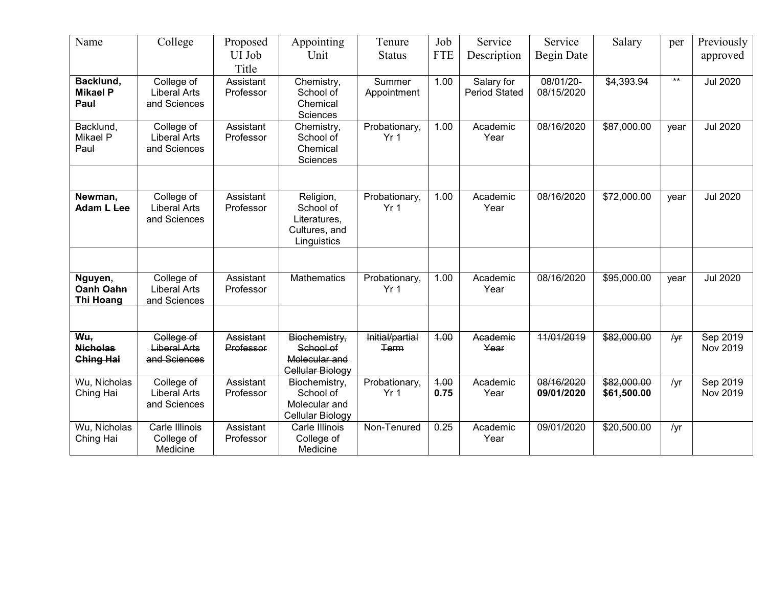| Name                                       | College                                           | Proposed<br>UI Job<br>Title   | Appointing<br>Unit                                                     | Tenure<br><b>Status</b>          | Job<br><b>FTE</b> | Service<br>Description             | Service<br>Begin Date    | Salary                     | per   | Previously<br>approved |
|--------------------------------------------|---------------------------------------------------|-------------------------------|------------------------------------------------------------------------|----------------------------------|-------------------|------------------------------------|--------------------------|----------------------------|-------|------------------------|
| Backlund,<br><b>Mikael P</b><br>Paul       | College of<br><b>Liberal Arts</b><br>and Sciences | Assistant<br>Professor        | Chemistry,<br>School of<br>Chemical<br>Sciences                        | Summer<br>Appointment            | 1.00              | Salary for<br><b>Period Stated</b> | 08/01/20-<br>08/15/2020  | \$4,393.94                 | $***$ | <b>Jul 2020</b>        |
| Backlund,<br>Mikael P<br>Paul              | College of<br><b>Liberal Arts</b><br>and Sciences | Assistant<br>Professor        | Chemistry,<br>School of<br>Chemical<br>Sciences                        | Probationary,<br>Yr <sub>1</sub> | 1.00              | Academic<br>Year                   | 08/16/2020               | \$87,000.00                | year  | <b>Jul 2020</b>        |
|                                            |                                                   |                               |                                                                        |                                  |                   |                                    |                          |                            |       |                        |
| Newman,<br>Adam L Lee                      | College of<br><b>Liberal Arts</b><br>and Sciences | Assistant<br>Professor        | Religion,<br>School of<br>Literatures,<br>Cultures, and<br>Linguistics | Probationary,<br>Yr <sub>1</sub> | 1.00              | Academic<br>Year                   | 08/16/2020               | \$72,000.00                | year  | <b>Jul 2020</b>        |
|                                            |                                                   |                               |                                                                        |                                  |                   |                                    |                          |                            |       |                        |
| Nguyen,<br>Oanh Oahn<br><b>Thi Hoang</b>   | College of<br><b>Liberal Arts</b><br>and Sciences | Assistant<br>Professor        | <b>Mathematics</b>                                                     | Probationary,<br>Yr 1            | 1.00              | Academic<br>Year                   | 08/16/2020               | \$95,000.00                | year  | <b>Jul 2020</b>        |
|                                            |                                                   |                               |                                                                        |                                  |                   |                                    |                          |                            |       |                        |
| Wu,<br><b>Nicholas</b><br><b>Ching Hai</b> | College of<br><b>Liberal Arts</b><br>and Sciences | <b>Assistant</b><br>Professor | Biochemistry,<br>School of<br>Molecular and<br>Cellular Biology        | Initial/partial<br>Term          | 4.00              | Academic<br>Year                   | 11/01/2019               | \$82,000.00                | /yr   | Sep 2019<br>Nov 2019   |
| Wu, Nicholas<br>Ching Hai                  | College of<br><b>Liberal Arts</b><br>and Sciences | Assistant<br>Professor        | Biochemistry,<br>School of<br>Molecular and<br>Cellular Biology        | Probationary,<br>Yr <sub>1</sub> | 4.00<br>0.75      | Academic<br>Year                   | 08/16/2020<br>09/01/2020 | \$82,000.00<br>\$61,500.00 | /yr   | Sep 2019<br>Nov 2019   |
| Wu, Nicholas<br>Ching Hai                  | Carle Illinois<br>College of<br>Medicine          | Assistant<br>Professor        | Carle Illinois<br>College of<br>Medicine                               | Non-Tenured                      | 0.25              | Academic<br>Year                   | 09/01/2020               | \$20,500.00                | /yr   |                        |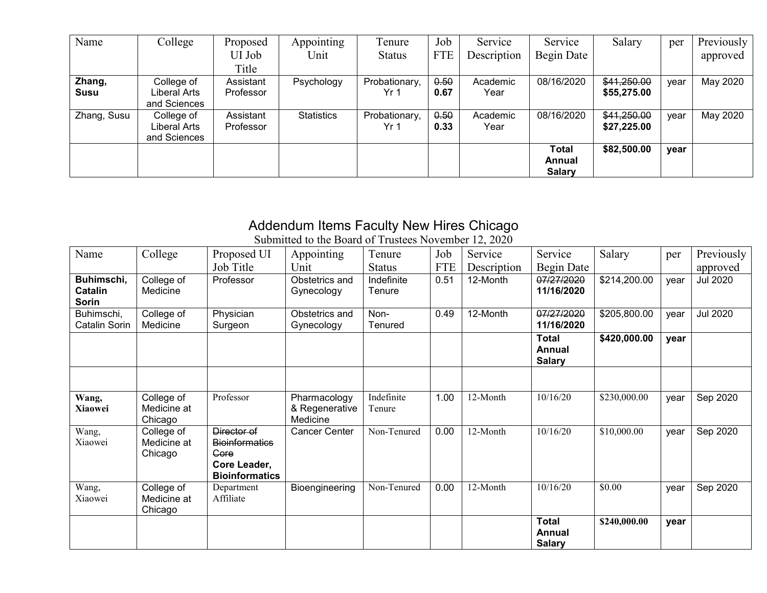| Name        | College      | Proposed  | Appointing        | Tenure        | Job        | Service     | Service       | Salary      | per  | Previously |
|-------------|--------------|-----------|-------------------|---------------|------------|-------------|---------------|-------------|------|------------|
|             |              | UI Job    | Unit              | <b>Status</b> | <b>FTE</b> | Description | Begin Date    |             |      | approved   |
|             |              | Title     |                   |               |            |             |               |             |      |            |
| Zhang,      | College of   | Assistant | Psychology        | Probationary, | 0.50       | Academic    | 08/16/2020    | \$41,250.00 | year | May 2020   |
| Susu        | Liberal Arts | Professor |                   | Yr 1          | 0.67       | Year        |               | \$55,275.00 |      |            |
|             | and Sciences |           |                   |               |            |             |               |             |      |            |
| Zhang, Susu | College of   | Assistant | <b>Statistics</b> | Probationary, | 0.50       | Academic    | 08/16/2020    | \$41,250.00 | year | May 2020   |
|             | Liberal Arts | Professor |                   | Yr 1          | 0.33       | Year        |               | \$27,225.00 |      |            |
|             | and Sciences |           |                   |               |            |             |               |             |      |            |
|             |              |           |                   |               |            |             | Total         | \$82,500.00 | year |            |
|             |              |           |                   |               |            |             | Annual        |             |      |            |
|             |              |           |                   |               |            |             | <b>Salary</b> |             |      |            |

### Addendum Items Faculty New Hires Chicago

| Name                                  | College                              | Proposed UI<br>Job Title                                                              | Appointing<br>Unit                         | Tenure<br><b>Status</b> | Job<br><b>FTE</b> | Service<br>Description | Service<br>Begin Date                   | Salary       | per  | Previously<br>approved |
|---------------------------------------|--------------------------------------|---------------------------------------------------------------------------------------|--------------------------------------------|-------------------------|-------------------|------------------------|-----------------------------------------|--------------|------|------------------------|
| Buhimschi,<br>Catalin<br><b>Sorin</b> | College of<br>Medicine               | Professor                                                                             | Obstetrics and<br>Gynecology               | Indefinite<br>Tenure    | 0.51              | 12-Month               | 07/27/2020<br>11/16/2020                | \$214,200.00 | vear | <b>Jul 2020</b>        |
| Buhimschi,<br>Catalin Sorin           | College of<br>Medicine               | Physician<br>Surgeon                                                                  | Obstetrics and<br>Gynecology               | Non-<br>Tenured         | 0.49              | 12-Month               | 07/27/2020<br>11/16/2020                | \$205,800.00 | year | <b>Jul 2020</b>        |
|                                       |                                      |                                                                                       |                                            |                         |                   |                        | <b>Total</b><br>Annual<br><b>Salary</b> | \$420,000.00 | year |                        |
|                                       |                                      |                                                                                       |                                            |                         |                   |                        |                                         |              |      |                        |
| Wang,<br>Xiaowei                      | College of<br>Medicine at<br>Chicago | Professor                                                                             | Pharmacology<br>& Regenerative<br>Medicine | Indefinite<br>Tenure    | 1.00              | 12-Month               | 10/16/20                                | \$230,000.00 | vear | Sep 2020               |
| Wang,<br>Xiaowei                      | College of<br>Medicine at<br>Chicago | Director of<br><b>Bioinformatics</b><br>Gore<br>Core Leader,<br><b>Bioinformatics</b> | <b>Cancer Center</b>                       | Non-Tenured             | 0.00              | 12-Month               | 10/16/20                                | \$10,000.00  | year | Sep 2020               |
| Wang,<br>Xiaowei                      | College of<br>Medicine at<br>Chicago | Department<br>Affiliate                                                               | Bioengineering                             | Non-Tenured             | 0.00              | 12-Month               | 10/16/20                                | \$0.00       | year | Sep 2020               |
|                                       |                                      |                                                                                       |                                            |                         |                   |                        | <b>Total</b><br>Annual<br><b>Salary</b> | \$240,000.00 | year |                        |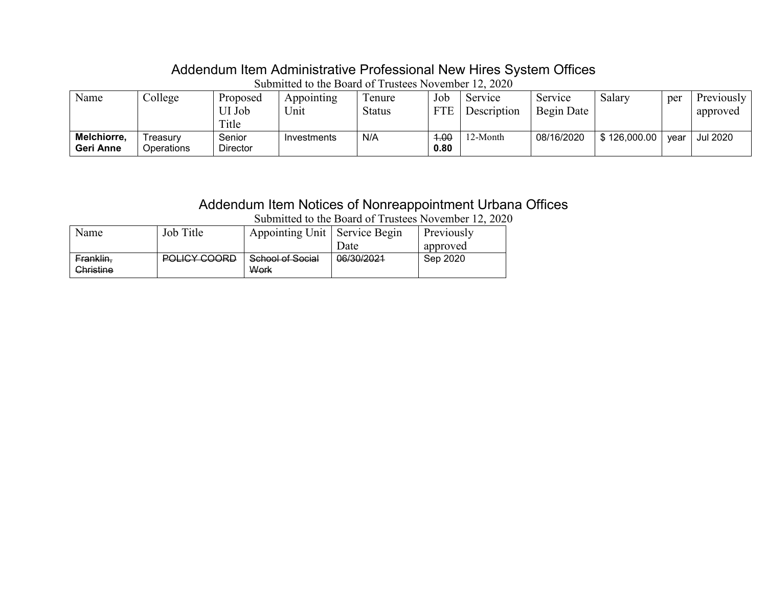# Addendum Item Administrative Professional New Hires System Offices

| Name                     | College                | Proposed<br>UI Job<br>Title | Appointing<br>Unit | l enure<br><b>Status</b> | Job<br><b>FTE</b> | Service<br>Description | Service<br>Begin Date | Salary       | per  | Previously<br>approved |
|--------------------------|------------------------|-----------------------------|--------------------|--------------------------|-------------------|------------------------|-----------------------|--------------|------|------------------------|
| Melchiorre,<br>Geri Anne | ⊺reasurv<br>Dperations | Senior<br><b>Director</b>   | Investments        | N/A                      | 1.00<br>0.80      | <sup>1</sup> 2-Month   | 08/16/2020            | \$126,000.00 | vear | <b>Jul 2020</b>        |

Submitted to the Board of Trustees November 12, 2020

### Addendum Item Notices of Nonreappointment Urbana Offices

| Name      | Job Title                             | Appointing Unit   Service Begin |            | Previously |
|-----------|---------------------------------------|---------------------------------|------------|------------|
|           |                                       |                                 | Date       | approved   |
| Franklin, | POLICY COOPD<br><del>rvuu voonv</del> | School of Social                | 06/30/2021 | Sep 2020   |
| Christine |                                       | Work                            |            |            |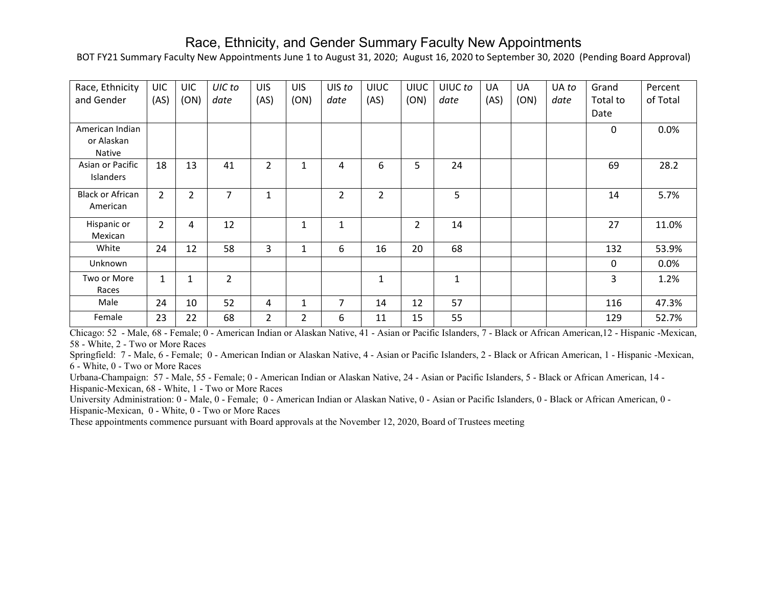#### Race, Ethnicity, and Gender Summary Faculty New Appointments

BOT FY21 Summary Faculty New Appointments June 1 to August 31, 2020; August 16, 2020 to September 30, 2020 (Pending Board Approval)

| Race, Ethnicity<br>and Gender           | <b>UIC</b><br>(AS) | <b>UIC</b><br>(ON) | UIC to<br>date | <b>UIS</b><br>(AS) | <b>UIS</b><br>(ON) | UIS to<br>date | <b>UIUC</b><br>(AS) | <b>UIUC</b><br>(ON) | UIUC to<br>date | UA<br>(AS) | UA<br>(ON) | UA to<br>date | Grand<br>Total to<br>Date | Percent<br>of Total |
|-----------------------------------------|--------------------|--------------------|----------------|--------------------|--------------------|----------------|---------------------|---------------------|-----------------|------------|------------|---------------|---------------------------|---------------------|
| American Indian<br>or Alaskan<br>Native |                    |                    |                |                    |                    |                |                     |                     |                 |            |            |               | $\Omega$                  | 0.0%                |
| Asian or Pacific<br>Islanders           | 18                 | 13                 | 41             | $\overline{2}$     | $\mathbf{1}$       | 4              | 6                   | 5                   | 24              |            |            |               | 69                        | 28.2                |
| <b>Black or African</b><br>American     | $\overline{2}$     | $\overline{2}$     | $\overline{7}$ | $\mathbf{1}$       |                    | $\overline{2}$ | $\overline{2}$      |                     | 5               |            |            |               | 14                        | 5.7%                |
| Hispanic or<br>Mexican                  | $\overline{2}$     | 4                  | 12             |                    | $\mathbf{1}$       | $\mathbf{1}$   |                     | $\overline{2}$      | 14              |            |            |               | 27                        | 11.0%               |
| White                                   | 24                 | 12                 | 58             | 3                  | 1                  | 6              | 16                  | 20                  | 68              |            |            |               | 132                       | 53.9%               |
| Unknown                                 |                    |                    |                |                    |                    |                |                     |                     |                 |            |            |               | $\mathbf{0}$              | $0.0\%$             |
| Two or More<br>Races                    | $\mathbf{1}$       | 1                  | $\mathcal{L}$  |                    |                    |                | $\mathbf{1}$        |                     | $\mathbf{1}$    |            |            |               | 3                         | 1.2%                |
| Male                                    | 24                 | 10                 | 52             | 4                  |                    | $\overline{7}$ | 14                  | 12                  | 57              |            |            |               | 116                       | 47.3%               |
| Female                                  | 23                 | 22                 | 68             | $\overline{2}$     | $\overline{2}$     | 6              | 11                  | 15                  | 55              |            |            |               | 129                       | 52.7%               |

Chicago: 52 - Male, 68 - Female; 0 - American Indian or Alaskan Native, 41 - Asian or Pacific Islanders, 7 - Black or African American,12 - Hispanic -Mexican, 58 - White, 2 - Two or More Races

Springfield: 7 - Male, 6 - Female; 0 - American Indian or Alaskan Native, 4 - Asian or Pacific Islanders, 2 - Black or African American, 1 - Hispanic -Mexican, 6 - White, 0 - Two or More Races

Urbana-Champaign: 57 - Male, 55 - Female; 0 - American Indian or Alaskan Native, 24 - Asian or Pacific Islanders, 5 - Black or African American, 14 - Hispanic-Mexican, 68 - White, 1 - Two or More Races

University Administration: 0 - Male, 0 - Female; 0 - American Indian or Alaskan Native, 0 - Asian or Pacific Islanders, 0 - Black or African American, 0 - Hispanic-Mexican, 0 - White, 0 - Two or More Races

These appointments commence pursuant with Board approvals at the November 12, 2020, Board of Trustees meeting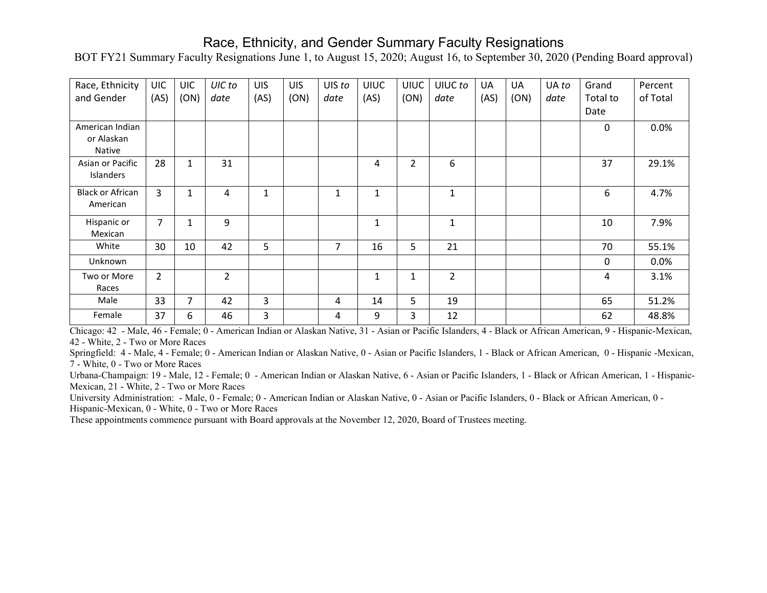#### Race, Ethnicity, and Gender Summary Faculty Resignations

BOT FY21 Summary Faculty Resignations June 1, to August 15, 2020; August 16, to September 30, 2020 (Pending Board approval)

| Race, Ethnicity         | <b>UIC</b>     | <b>UIC</b>   | UIC to         | <b>UIS</b>     | <b>UIS</b> | UIS to       | <b>UIUC</b>  | <b>UIUC</b>    | UIUC to        | UA   | UA   | UA to | Grand        | Percent  |
|-------------------------|----------------|--------------|----------------|----------------|------------|--------------|--------------|----------------|----------------|------|------|-------|--------------|----------|
| and Gender              | (AS)           | (ON)         | date           | (AS)           | (ON)       | date         | (AS)         | (ON)           | date           | (AS) | (ON) | date  | Total to     | of Total |
|                         |                |              |                |                |            |              |              |                |                |      |      |       | Date         |          |
| American Indian         |                |              |                |                |            |              |              |                |                |      |      |       | $\mathbf{0}$ | 0.0%     |
| or Alaskan              |                |              |                |                |            |              |              |                |                |      |      |       |              |          |
| Native                  |                |              |                |                |            |              |              |                |                |      |      |       |              |          |
| Asian or Pacific        | 28             | $\mathbf{1}$ | 31             |                |            |              | 4            | $\overline{2}$ | 6              |      |      |       | 37           | 29.1%    |
| <b>Islanders</b>        |                |              |                |                |            |              |              |                |                |      |      |       |              |          |
| <b>Black or African</b> | 3              | $\mathbf{1}$ | 4              | $\mathbf{1}$   |            | $\mathbf{1}$ | $\mathbf{1}$ |                | 1              |      |      |       | 6            | 4.7%     |
| American                |                |              |                |                |            |              |              |                |                |      |      |       |              |          |
| Hispanic or             | $\overline{7}$ | $\mathbf{1}$ | 9              |                |            |              | $\mathbf{1}$ |                | $\mathbf{1}$   |      |      |       | 10           | 7.9%     |
| Mexican                 |                |              |                |                |            |              |              |                |                |      |      |       |              |          |
| White                   | 30             | 10           | 42             | 5              |            | 7            | 16           | 5              | 21             |      |      |       | 70           | 55.1%    |
| Unknown                 |                |              |                |                |            |              |              |                |                |      |      |       | $\mathbf 0$  | 0.0%     |
| Two or More             | $\overline{2}$ |              | $\overline{2}$ |                |            |              | 1            | $\mathbf{1}$   | $\overline{2}$ |      |      |       | 4            | 3.1%     |
| Races                   |                |              |                |                |            |              |              |                |                |      |      |       |              |          |
| Male                    | 33             | 7            | 42             | 3              |            | 4            | 14           | 5              | 19             |      |      |       | 65           | 51.2%    |
| Female                  | 37             | 6            | 46             | $\overline{3}$ |            | 4            | 9            | 3              | 12             |      |      |       | 62           | 48.8%    |

Chicago: 42 - Male, 46 - Female; 0 - American Indian or Alaskan Native, 31 - Asian or Pacific Islanders, 4 - Black or African American, 9 - Hispanic-Mexican, 42 - White, 2 - Two or More Races

Springfield: 4 - Male, 4 - Female; 0 - American Indian or Alaskan Native, 0 - Asian or Pacific Islanders, 1 - Black or African American, 0 - Hispanic -Mexican, 7 - White, 0 - Two or More Races

Urbana-Champaign: 19 - Male, 12 - Female; 0 - American Indian or Alaskan Native, 6 - Asian or Pacific Islanders, 1 - Black or African American, 1 - Hispanic-Mexican, 21 - White, 2 - Two or More Races

University Administration: - Male, 0 - Female; 0 - American Indian or Alaskan Native, 0 - Asian or Pacific Islanders, 0 - Black or African American, 0 - Hispanic-Mexican, 0 - White, 0 - Two or More Races

These appointments commence pursuant with Board approvals at the November 12, 2020, Board of Trustees meeting.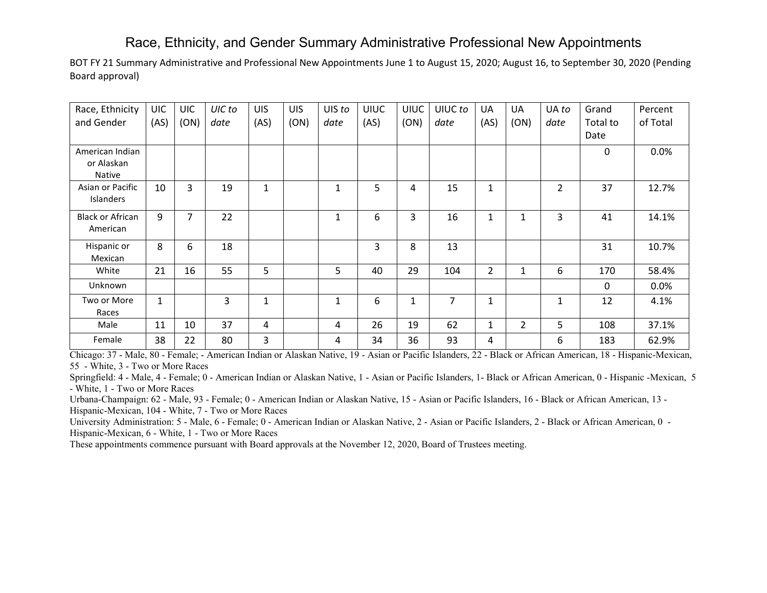### Race, Ethnicity, and Gender Summary Administrative Professional New Appointments

BOT FY 21 Summary Administrative and Professional New Appointments June 1 to August 15, 2020; August 16, to September 30, 2020 (Pending Board approval)

| Race, Ethnicity         | <b>UIC</b>   | <b>UIC</b> | UIC to | <b>UIS</b>   | <b>UIS</b> | UIS to       | <b>UIUC</b> | <b>UIUC</b>  | UIUC to        | UA             | UA             | UA to          | Grand        | Percent  |
|-------------------------|--------------|------------|--------|--------------|------------|--------------|-------------|--------------|----------------|----------------|----------------|----------------|--------------|----------|
| and Gender              | (AS)         | (ON)       | date   | (AS)         | (ON)       | date         | (AS)        | (ON)         | date           | (AS)           | (ON)           | date           | Total to     | of Total |
|                         |              |            |        |              |            |              |             |              |                |                |                |                | Date         |          |
| American Indian         |              |            |        |              |            |              |             |              |                |                |                |                | 0            | 0.0%     |
| or Alaskan              |              |            |        |              |            |              |             |              |                |                |                |                |              |          |
| <b>Native</b>           |              |            |        |              |            |              |             |              |                |                |                |                |              |          |
| Asian or Pacific        | 10           | 3          | 19     | $\mathbf{1}$ |            | 1            | 5           | 4            | 15             | $\mathbf{1}$   |                | $\overline{2}$ | 37           | 12.7%    |
| Islanders               |              |            |        |              |            |              |             |              |                |                |                |                |              |          |
| <b>Black or African</b> | 9            | 7          | 22     |              |            | 1            | 6           | 3            | 16             | 1              | 1              | 3              | 41           | 14.1%    |
| American                |              |            |        |              |            |              |             |              |                |                |                |                |              |          |
| Hispanic or             | 8            | 6          | 18     |              |            |              | 3           | 8            | 13             |                |                |                | 31           | 10.7%    |
| Mexican                 |              |            |        |              |            |              |             |              |                |                |                |                |              |          |
| White                   | 21           | 16         | 55     | 5            |            | 5            | 40          | 29           | 104            | $\overline{2}$ | 1              | 6              | 170          | 58.4%    |
| Unknown                 |              |            |        |              |            |              |             |              |                |                |                |                | $\mathbf{0}$ | 0.0%     |
| Two or More             | $\mathbf{1}$ |            | 3      | $\mathbf{1}$ |            | $\mathbf{1}$ | 6           | $\mathbf{1}$ | $\overline{7}$ | $\mathbf{1}$   |                | 1              | 12           | 4.1%     |
| Races                   |              |            |        |              |            |              |             |              |                |                |                |                |              |          |
| Male                    | 11           | 10         | 37     | 4            |            | 4            | 26          | 19           | 62             | $\mathbf{1}$   | $\overline{2}$ | 5              | 108          | 37.1%    |
| Female                  | 38           | 22         | 80     | 3            |            | 4            | 34          | 36           | 93             | 4              |                | 6              | 183          | 62.9%    |

Chicago: 37 - Male, 80 - Female; - American Indian or Alaskan Native, 19 - Asian or Pacific Islanders, 22 - Black or African American, 18 - Hispanic-Mexican, 55 - White, 3 - Two or More Races

Springfield: 4 - Male, 4 - Female; 0 - American Indian or Alaskan Native, 1 - Asian or Pacific Islanders, 1- Black or African American, 0 - Hispanic -Mexican, 5 - White, 1 - Two or More Races

Urbana-Champaign: 62 - Male, 93 - Female; 0 - American Indian or Alaskan Native, 15 - Asian or Pacific Islanders, 16 - Black or African American, 13 - Hispanic-Mexican, 104 - White, 7 - Two or More Races

University Administration: 5 - Male, 6 - Female; 0 - American Indian or Alaskan Native, 2 - Asian or Pacific Islanders, 2 - Black or African American, 0 - Hispanic-Mexican, 6 - White, 1 - Two or More Races

These appointments commence pursuant with Board approvals at the November 12, 2020, Board of Trustees meeting.